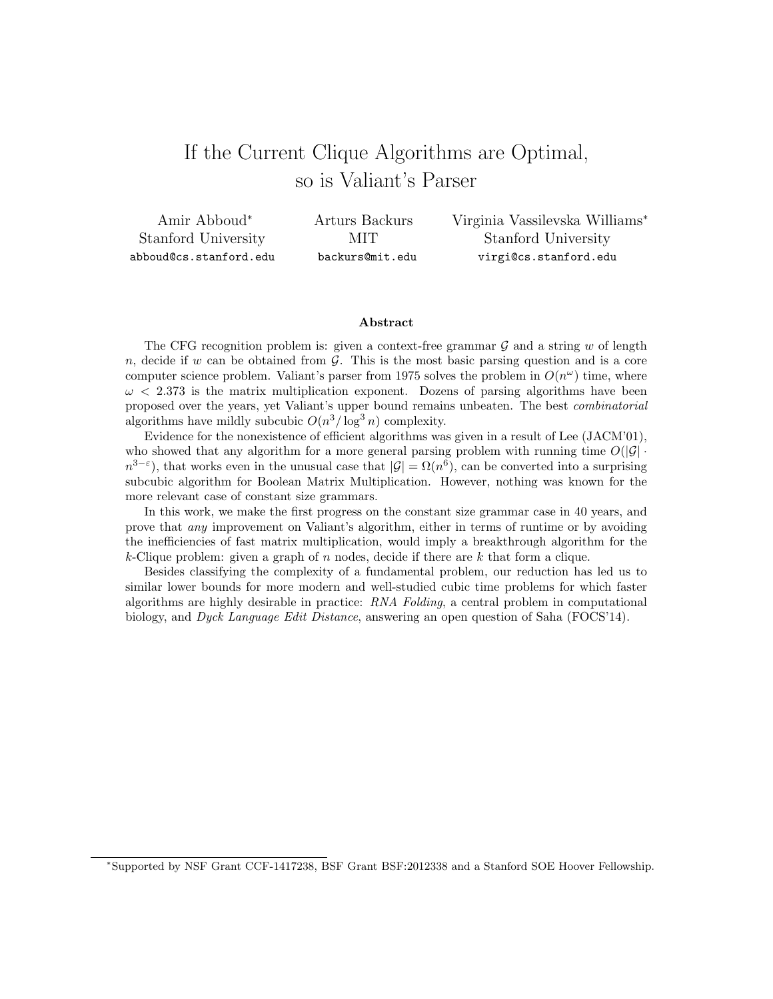# If the Current Clique Algorithms are Optimal, so is Valiant's Parser

| Amir Abboud*           | Arturs Backurs  | Virginia Vassilevska Williams* |
|------------------------|-----------------|--------------------------------|
| Stanford University    | MIT.            | Stanford University            |
| abboud@cs.stanford.edu | backurs@mit.edu | virgi@cs.stanford.edu          |

#### Abstract

The CFG recognition problem is: given a context-free grammar  $\mathcal G$  and a string w of length n, decide if w can be obtained from  $\mathcal G$ . This is the most basic parsing question and is a core computer science problem. Valiant's parser from 1975 solves the problem in  $O(n^{\omega})$  time, where  $\omega$  < 2.373 is the matrix multiplication exponent. Dozens of parsing algorithms have been proposed over the years, yet Valiant's upper bound remains unbeaten. The best combinatorial algorithms have mildly subcubic  $O(n^3/\log^3 n)$  complexity.

Evidence for the nonexistence of efficient algorithms was given in a result of Lee (JACM'01), who showed that any algorithm for a more general parsing problem with running time  $O(|\mathcal{G}|)$ .  $n^{3-\epsilon}$ ), that works even in the unusual case that  $|\mathcal{G}| = \Omega(n^6)$ , can be converted into a surprising subcubic algorithm for Boolean Matrix Multiplication. However, nothing was known for the more relevant case of constant size grammars.

In this work, we make the first progress on the constant size grammar case in 40 years, and prove that any improvement on Valiant's algorithm, either in terms of runtime or by avoiding the inefficiencies of fast matrix multiplication, would imply a breakthrough algorithm for the  $k$ -Clique problem: given a graph of n nodes, decide if there are k that form a clique.

Besides classifying the complexity of a fundamental problem, our reduction has led us to similar lower bounds for more modern and well-studied cubic time problems for which faster algorithms are highly desirable in practice: RNA Folding, a central problem in computational biology, and *Dyck Language Edit Distance*, answering an open question of Saha (FOCS'14).

<sup>∗</sup>Supported by NSF Grant CCF-1417238, BSF Grant BSF:2012338 and a Stanford SOE Hoover Fellowship.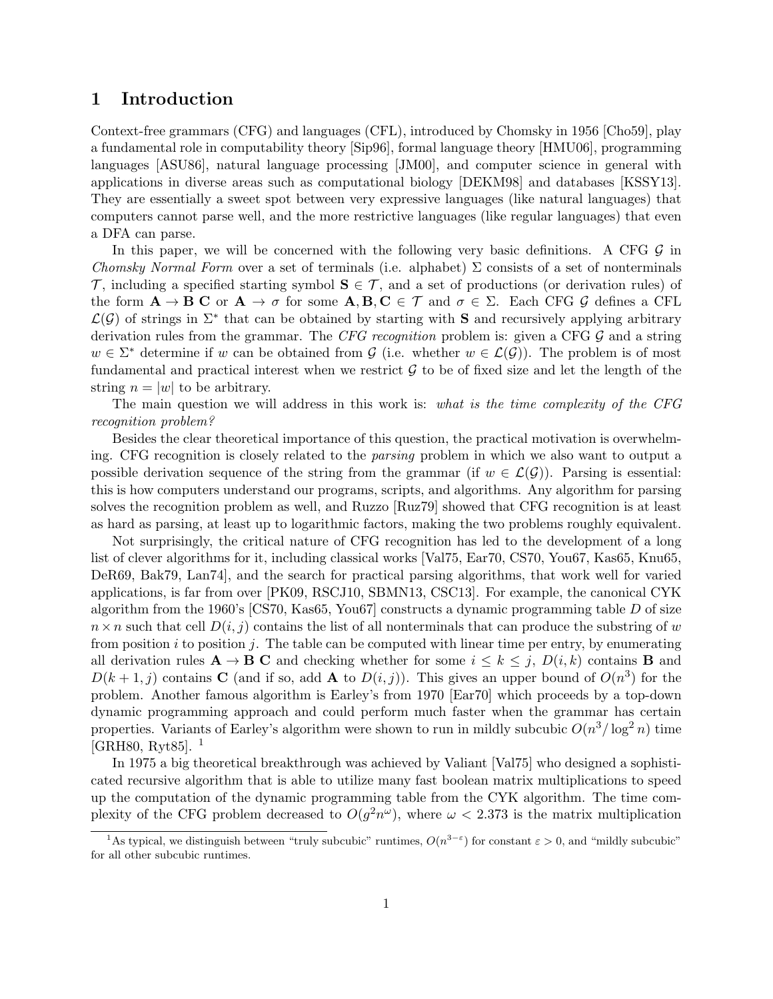### 1 Introduction

Context-free grammars (CFG) and languages (CFL), introduced by Chomsky in 1956 [Cho59], play a fundamental role in computability theory [Sip96], formal language theory [HMU06], programming languages [ASU86], natural language processing [JM00], and computer science in general with applications in diverse areas such as computational biology [DEKM98] and databases [KSSY13]. They are essentially a sweet spot between very expressive languages (like natural languages) that computers cannot parse well, and the more restrictive languages (like regular languages) that even a DFA can parse.

In this paper, we will be concerned with the following very basic definitions. A CFG  $\mathcal G$  in Chomsky Normal Form over a set of terminals (i.e. alphabet)  $\Sigma$  consists of a set of nonterminals  $\mathcal{T}$ , including a specified starting symbol  $S \in \mathcal{T}$ , and a set of productions (or derivation rules) of the form  $\mathbf{A} \to \mathbf{B} \mathbf{C}$  or  $\mathbf{A} \to \sigma$  for some  $\mathbf{A}, \mathbf{B}, \mathbf{C} \in \mathcal{T}$  and  $\sigma \in \Sigma$ . Each CFG G defines a CFL  $\mathcal{L}(\mathcal{G})$  of strings in  $\Sigma^*$  that can be obtained by starting with S and recursively applying arbitrary derivation rules from the grammar. The CFG recognition problem is: given a CFG  $\mathcal G$  and a string  $w \in \Sigma^*$  determine if w can be obtained from  $\mathcal{G}$  (i.e. whether  $w \in \mathcal{L}(\mathcal{G})$ ). The problem is of most fundamental and practical interest when we restrict  $\mathcal G$  to be of fixed size and let the length of the string  $n = |w|$  to be arbitrary.

The main question we will address in this work is: what is the time complexity of the CFG recognition problem?

Besides the clear theoretical importance of this question, the practical motivation is overwhelming. CFG recognition is closely related to the parsing problem in which we also want to output a possible derivation sequence of the string from the grammar (if  $w \in \mathcal{L}(\mathcal{G})$ ). Parsing is essential: this is how computers understand our programs, scripts, and algorithms. Any algorithm for parsing solves the recognition problem as well, and Ruzzo [Ruz79] showed that CFG recognition is at least as hard as parsing, at least up to logarithmic factors, making the two problems roughly equivalent.

Not surprisingly, the critical nature of CFG recognition has led to the development of a long list of clever algorithms for it, including classical works [Val75, Ear70, CS70, You67, Kas65, Knu65, DeR69, Bak79, Lan74], and the search for practical parsing algorithms, that work well for varied applications, is far from over [PK09, RSCJ10, SBMN13, CSC13]. For example, the canonical CYK algorithm from the 1960's  $[CS70, Kas65, You67]$  constructs a dynamic programming table D of size  $n \times n$  such that cell  $D(i, j)$  contains the list of all nonterminals that can produce the substring of w from position  $i$  to position  $j$ . The table can be computed with linear time per entry, by enumerating all derivation rules  $\mathbf{A} \to \mathbf{B} \mathbf{C}$  and checking whether for some  $i \leq k \leq j$ ,  $D(i, k)$  contains **B** and  $D(k+1,j)$  contains **C** (and if so, add **A** to  $D(i,j)$ ). This gives an upper bound of  $O(n^3)$  for the problem. Another famous algorithm is Earley's from 1970 [Ear70] which proceeds by a top-down dynamic programming approach and could perform much faster when the grammar has certain properties. Variants of Earley's algorithm were shown to run in mildly subcubic  $O(n^3/\log^2 n)$  time  $[GRH80, Ryt85]$ . <sup>1</sup>

In 1975 a big theoretical breakthrough was achieved by Valiant [Val75] who designed a sophisticated recursive algorithm that is able to utilize many fast boolean matrix multiplications to speed up the computation of the dynamic programming table from the CYK algorithm. The time complexity of the CFG problem decreased to  $O(g^2n^{\omega})$ , where  $\omega < 2.373$  is the matrix multiplication

<sup>&</sup>lt;sup>1</sup>As typical, we distinguish between "truly subcubic" runtimes,  $O(n^{3-\epsilon})$  for constant  $\varepsilon > 0$ , and "mildly subcubic" for all other subcubic runtimes.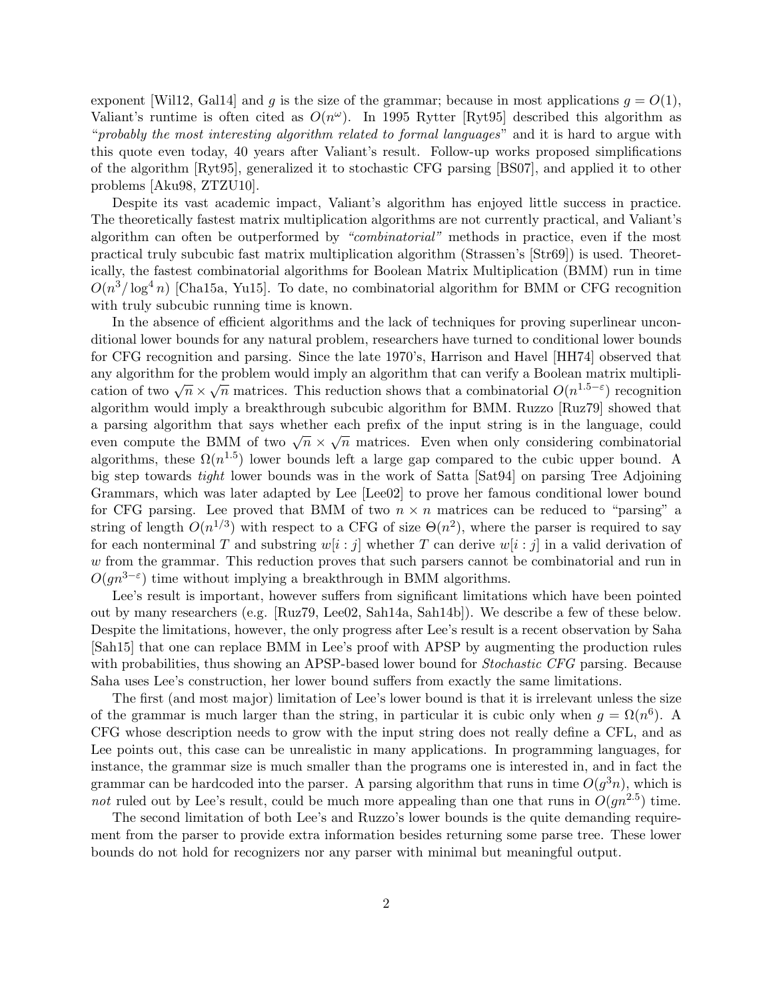exponent [Wil12, Gal14] and g is the size of the grammar; because in most applications  $g = O(1)$ , Valiant's runtime is often cited as  $O(n^{\omega})$ . In 1995 Rytter [Ryt95] described this algorithm as "probably the most interesting algorithm related to formal languages" and it is hard to argue with this quote even today, 40 years after Valiant's result. Follow-up works proposed simplifications of the algorithm [Ryt95], generalized it to stochastic CFG parsing [BS07], and applied it to other problems [Aku98, ZTZU10].

Despite its vast academic impact, Valiant's algorithm has enjoyed little success in practice. The theoretically fastest matrix multiplication algorithms are not currently practical, and Valiant's algorithm can often be outperformed by "combinatorial" methods in practice, even if the most practical truly subcubic fast matrix multiplication algorithm (Strassen's [Str69]) is used. Theoretically, the fastest combinatorial algorithms for Boolean Matrix Multiplication (BMM) run in time  $O(n^3/\log^4 n)$  [Cha15a, Yu15]. To date, no combinatorial algorithm for BMM or CFG recognition with truly subcubic running time is known.

In the absence of efficient algorithms and the lack of techniques for proving superlinear unconditional lower bounds for any natural problem, researchers have turned to conditional lower bounds for CFG recognition and parsing. Since the late 1970's, Harrison and Havel [HH74] observed that any algorithm for the problem would imply an algorithm that can verify a Boolean matrix multiplication of two  $\sqrt{n} \times \sqrt{n}$  matrices. This reduction shows that a combinatorial  $O(n^{1.5-\epsilon})$  recognition algorithm would imply a breakthrough subcubic algorithm for BMM. Ruzzo [Ruz79] showed that a parsing algorithm that says whether each prefix of the input string is in the language, could a parsing algorithm that says whether each prefix of the input string is in the language, could<br>even compute the BMM of two  $\sqrt{n} \times \sqrt{n}$  matrices. Even when only considering combinatorial algorithms, these  $\Omega(n^{1.5})$  lower bounds left a large gap compared to the cubic upper bound. A big step towards tight lower bounds was in the work of Satta [Sat94] on parsing Tree Adjoining Grammars, which was later adapted by Lee [Lee02] to prove her famous conditional lower bound for CFG parsing. Lee proved that BMM of two  $n \times n$  matrices can be reduced to "parsing" a string of length  $O(n^{1/3})$  with respect to a CFG of size  $\Theta(n^2)$ , where the parser is required to say for each nonterminal T and substring  $w[i : j]$  whether T can derive  $w[i : j]$  in a valid derivation of  $w$  from the grammar. This reduction proves that such parsers cannot be combinatorial and run in  $O(gn^{3-\varepsilon})$  time without implying a breakthrough in BMM algorithms.

Lee's result is important, however suffers from significant limitations which have been pointed out by many researchers (e.g. [Ruz79, Lee02, Sah14a, Sah14b]). We describe a few of these below. Despite the limitations, however, the only progress after Lee's result is a recent observation by Saha [Sah15] that one can replace BMM in Lee's proof with APSP by augmenting the production rules with probabilities, thus showing an APSP-based lower bound for *Stochastic CFG* parsing. Because Saha uses Lee's construction, her lower bound suffers from exactly the same limitations.

The first (and most major) limitation of Lee's lower bound is that it is irrelevant unless the size of the grammar is much larger than the string, in particular it is cubic only when  $g = \Omega(n^6)$ . A CFG whose description needs to grow with the input string does not really define a CFL, and as Lee points out, this case can be unrealistic in many applications. In programming languages, for instance, the grammar size is much smaller than the programs one is interested in, and in fact the grammar can be hardcoded into the parser. A parsing algorithm that runs in time  $O(g^3n)$ , which is not ruled out by Lee's result, could be much more appealing than one that runs in  $O(gn^{2.5})$  time.

The second limitation of both Lee's and Ruzzo's lower bounds is the quite demanding requirement from the parser to provide extra information besides returning some parse tree. These lower bounds do not hold for recognizers nor any parser with minimal but meaningful output.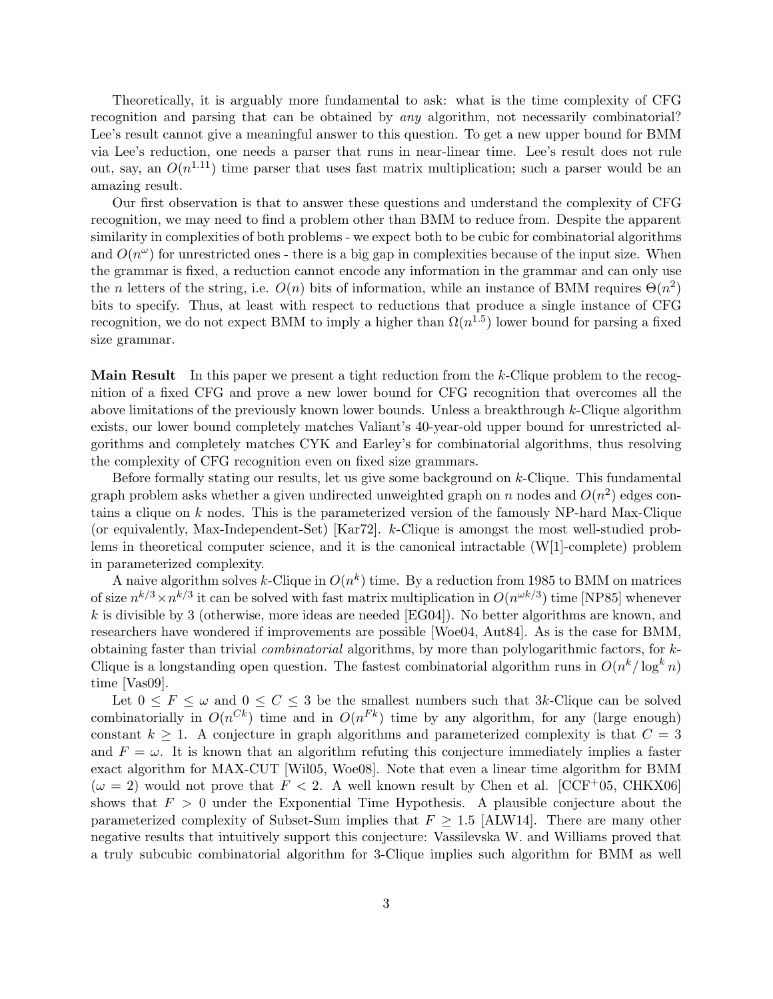Theoretically, it is arguably more fundamental to ask: what is the time complexity of CFG recognition and parsing that can be obtained by any algorithm, not necessarily combinatorial? Lee's result cannot give a meaningful answer to this question. To get a new upper bound for BMM via Lee's reduction, one needs a parser that runs in near-linear time. Lee's result does not rule out, say, an  $O(n^{1.11})$  time parser that uses fast matrix multiplication; such a parser would be an amazing result.

Our first observation is that to answer these questions and understand the complexity of CFG recognition, we may need to find a problem other than BMM to reduce from. Despite the apparent similarity in complexities of both problems - we expect both to be cubic for combinatorial algorithms and  $O(n^{\omega})$  for unrestricted ones - there is a big gap in complexities because of the input size. When the grammar is fixed, a reduction cannot encode any information in the grammar and can only use the n letters of the string, i.e.  $O(n)$  bits of information, while an instance of BMM requires  $\Theta(n^2)$ bits to specify. Thus, at least with respect to reductions that produce a single instance of CFG recognition, we do not expect BMM to imply a higher than  $\Omega(n^{1.5})$  lower bound for parsing a fixed size grammar.

**Main Result** In this paper we present a tight reduction from the  $k$ -Clique problem to the recognition of a fixed CFG and prove a new lower bound for CFG recognition that overcomes all the above limitations of the previously known lower bounds. Unless a breakthrough  $k$ -Clique algorithm exists, our lower bound completely matches Valiant's 40-year-old upper bound for unrestricted algorithms and completely matches CYK and Earley's for combinatorial algorithms, thus resolving the complexity of CFG recognition even on fixed size grammars.

Before formally stating our results, let us give some background on  $k$ -Clique. This fundamental graph problem asks whether a given undirected unweighted graph on n nodes and  $O(n^2)$  edges contains a clique on k nodes. This is the parameterized version of the famously NP-hard Max-Clique (or equivalently, Max-Independent-Set) [Kar72]. k-Clique is amongst the most well-studied problems in theoretical computer science, and it is the canonical intractable (W[1]-complete) problem in parameterized complexity.

A naive algorithm solves k-Clique in  $O(n^k)$  time. By a reduction from 1985 to BMM on matrices of size  $n^{k/3} \times n^{k/3}$  it can be solved with fast matrix multiplication in  $O(n^{\omega k/3})$  time [NP85] whenever  $k$  is divisible by 3 (otherwise, more ideas are needed [EG04]). No better algorithms are known, and researchers have wondered if improvements are possible [Woe04, Aut84]. As is the case for BMM, obtaining faster than trivial combinatorial algorithms, by more than polylogarithmic factors, for k-Clique is a longstanding open question. The fastest combinatorial algorithm runs in  $O(n^k/\log^k n)$ time [Vas09].

Let  $0 \leq F \leq \omega$  and  $0 \leq C \leq 3$  be the smallest numbers such that 3k-Clique can be solved combinatorially in  $O(n^{Ck})$  time and in  $O(n^{Fk})$  time by any algorithm, for any (large enough) constant  $k \geq 1$ . A conjecture in graph algorithms and parameterized complexity is that  $C = 3$ and  $F = \omega$ . It is known that an algorithm refuting this conjecture immediately implies a faster exact algorithm for MAX-CUT [Wil05, Woe08]. Note that even a linear time algorithm for BMM  $(\omega = 2)$  would not prove that  $F < 2$ . A well known result by Chen et al. [CCF+05, CHKX06] shows that  $F > 0$  under the Exponential Time Hypothesis. A plausible conjecture about the parameterized complexity of Subset-Sum implies that  $F \geq 1.5$  [ALW14]. There are many other negative results that intuitively support this conjecture: Vassilevska W. and Williams proved that a truly subcubic combinatorial algorithm for 3-Clique implies such algorithm for BMM as well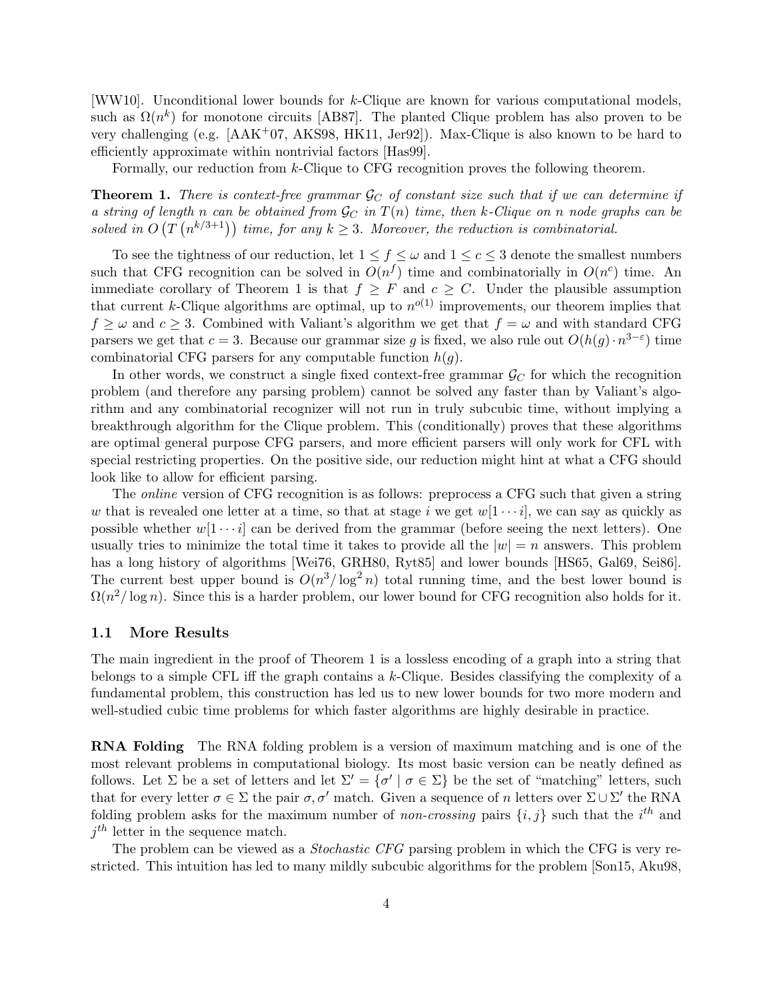[WW10]. Unconditional lower bounds for k-Clique are known for various computational models, such as  $\Omega(n^k)$  for monotone circuits [AB87]. The planted Clique problem has also proven to be very challenging (e.g. [AAK+07, AKS98, HK11, Jer92]). Max-Clique is also known to be hard to efficiently approximate within nontrivial factors [Has99].

Formally, our reduction from k-Clique to CFG recognition proves the following theorem.

**Theorem 1.** There is context-free grammar  $\mathcal{G}_C$  of constant size such that if we can determine if a string of length n can be obtained from  $\mathcal{G}_C$  in  $T(n)$  time, then k-Clique on n node graphs can be solved in  $O(T(n^{k/3+1}))$  time, for any  $k \geq 3$ . Moreover, the reduction is combinatorial.

To see the tightness of our reduction, let  $1 \le f \le \omega$  and  $1 \le c \le 3$  denote the smallest numbers such that CFG recognition can be solved in  $O(n^f)$  time and combinatorially in  $O(n^c)$  time. An immediate corollary of Theorem 1 is that  $f \geq F$  and  $c \geq C$ . Under the plausible assumption that current k-Clique algorithms are optimal, up to  $n^{o(1)}$  improvements, our theorem implies that  $f \geq \omega$  and  $c \geq 3$ . Combined with Valiant's algorithm we get that  $f = \omega$  and with standard CFG parsers we get that  $c = 3$ . Because our grammar size g is fixed, we also rule out  $O(h(g) \cdot n^{3-\epsilon})$  time combinatorial CFG parsers for any computable function  $h(g)$ .

In other words, we construct a single fixed context-free grammar  $\mathcal{G}_C$  for which the recognition problem (and therefore any parsing problem) cannot be solved any faster than by Valiant's algorithm and any combinatorial recognizer will not run in truly subcubic time, without implying a breakthrough algorithm for the Clique problem. This (conditionally) proves that these algorithms are optimal general purpose CFG parsers, and more efficient parsers will only work for CFL with special restricting properties. On the positive side, our reduction might hint at what a CFG should look like to allow for efficient parsing.

The *online* version of CFG recognition is as follows: preprocess a CFG such that given a string w that is revealed one letter at a time, so that at stage i we get  $w[1 \cdots i]$ , we can say as quickly as possible whether  $w[1 \cdots i]$  can be derived from the grammar (before seeing the next letters). One usually tries to minimize the total time it takes to provide all the  $|w| = n$  answers. This problem has a long history of algorithms [Wei76, GRH80, Ryt85] and lower bounds [HS65, Gal69, Sei86]. The current best upper bound is  $O(n^3/\log^2 n)$  total running time, and the best lower bound is  $\Omega(n^2/\log n)$ . Since this is a harder problem, our lower bound for CFG recognition also holds for it.

#### 1.1 More Results

The main ingredient in the proof of Theorem 1 is a lossless encoding of a graph into a string that belongs to a simple CFL iff the graph contains a k-Clique. Besides classifying the complexity of a fundamental problem, this construction has led us to new lower bounds for two more modern and well-studied cubic time problems for which faster algorithms are highly desirable in practice.

RNA Folding The RNA folding problem is a version of maximum matching and is one of the most relevant problems in computational biology. Its most basic version can be neatly defined as follows. Let  $\Sigma$  be a set of letters and let  $\Sigma' = {\sigma' | \sigma \in \Sigma}$  be the set of "matching" letters, such that for every letter  $\sigma \in \Sigma$  the pair  $\sigma, \sigma'$  match. Given a sequence of n letters over  $\Sigma \cup \Sigma'$  the RNA folding problem asks for the maximum number of *non-crossing* pairs  $\{i, j\}$  such that the i<sup>th</sup> and  $j<sup>th</sup>$  letter in the sequence match.

The problem can be viewed as a *Stochastic CFG* parsing problem in which the CFG is very restricted. This intuition has led to many mildly subcubic algorithms for the problem [Son15, Aku98,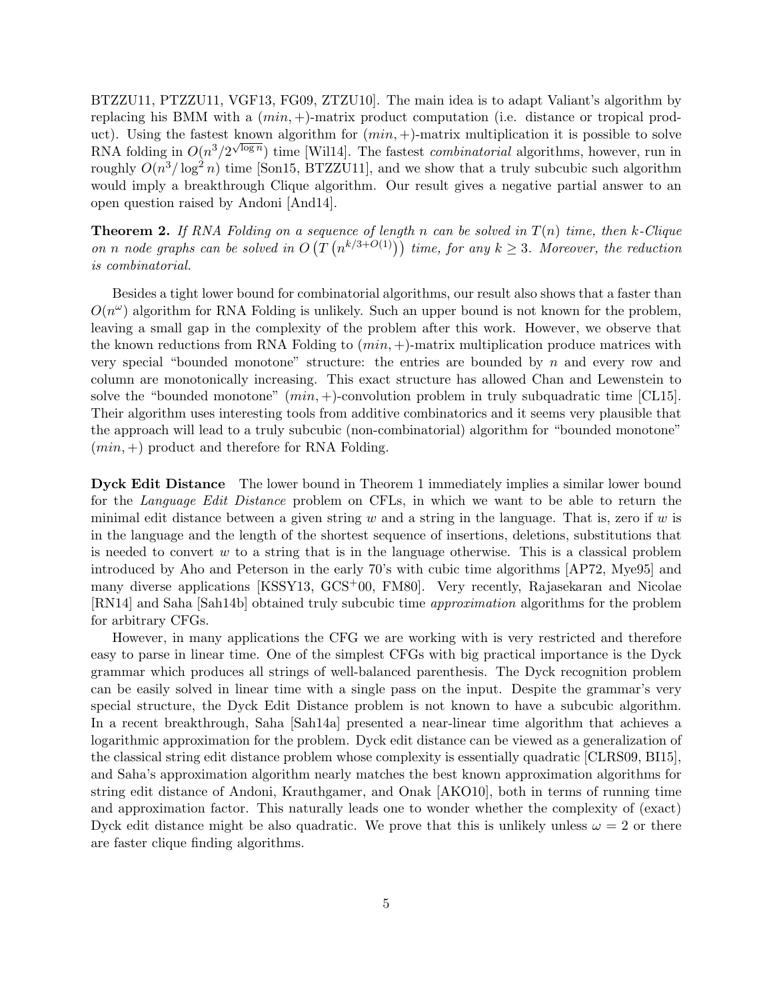BTZZU11, PTZZU11, VGF13, FG09, ZTZU10]. The main idea is to adapt Valiant's algorithm by replacing his BMM with a  $(min, +)$ -matrix product computation (i.e. distance or tropical product). Using the fastest known algorithm for  $(min, +)$ -matrix multiplication it is possible to solve RNA folding in  $O(n^3/2^{\sqrt{\log n}})$  time [Wil14]. The fastest *combinatorial* algorithms, however, run in roughly  $O(n^3/\log^2 n)$  time [Son15, BTZZU11], and we show that a truly subcubic such algorithm would imply a breakthrough Clique algorithm. Our result gives a negative partial answer to an open question raised by Andoni [And14].

**Theorem 2.** If RNA Folding on a sequence of length n can be solved in  $T(n)$  time, then k-Clique on n node graphs can be solved in  $O(T(n^{k/3+O(1)}))$  time, for any  $k \geq 3$ . Moreover, the reduction is combinatorial.

Besides a tight lower bound for combinatorial algorithms, our result also shows that a faster than  $O(n^{\omega})$  algorithm for RNA Folding is unlikely. Such an upper bound is not known for the problem, leaving a small gap in the complexity of the problem after this work. However, we observe that the known reductions from RNA Folding to  $(min, +)$ -matrix multiplication produce matrices with very special "bounded monotone" structure: the entries are bounded by  $n$  and every row and column are monotonically increasing. This exact structure has allowed Chan and Lewenstein to solve the "bounded monotone"  $(min, +)$ -convolution problem in truly subquadratic time [CL15]. Their algorithm uses interesting tools from additive combinatorics and it seems very plausible that the approach will lead to a truly subcubic (non-combinatorial) algorithm for "bounded monotone"  $(min, +)$  product and therefore for RNA Folding.

Dyck Edit Distance The lower bound in Theorem 1 immediately implies a similar lower bound for the Language Edit Distance problem on CFLs, in which we want to be able to return the minimal edit distance between a given string w and a string in the language. That is, zero if  $w$  is in the language and the length of the shortest sequence of insertions, deletions, substitutions that is needed to convert  $w$  to a string that is in the language otherwise. This is a classical problem introduced by Aho and Peterson in the early 70's with cubic time algorithms [AP72, Mye95] and many diverse applications [KSSY13, GCS+00, FM80]. Very recently, Rajasekaran and Nicolae [RN14] and Saha [Sah14b] obtained truly subcubic time approximation algorithms for the problem for arbitrary CFGs.

However, in many applications the CFG we are working with is very restricted and therefore easy to parse in linear time. One of the simplest CFGs with big practical importance is the Dyck grammar which produces all strings of well-balanced parenthesis. The Dyck recognition problem can be easily solved in linear time with a single pass on the input. Despite the grammar's very special structure, the Dyck Edit Distance problem is not known to have a subcubic algorithm. In a recent breakthrough, Saha [Sah14a] presented a near-linear time algorithm that achieves a logarithmic approximation for the problem. Dyck edit distance can be viewed as a generalization of the classical string edit distance problem whose complexity is essentially quadratic [CLRS09, BI15], and Saha's approximation algorithm nearly matches the best known approximation algorithms for string edit distance of Andoni, Krauthgamer, and Onak [AKO10], both in terms of running time and approximation factor. This naturally leads one to wonder whether the complexity of (exact) Dyck edit distance might be also quadratic. We prove that this is unlikely unless  $\omega = 2$  or there are faster clique finding algorithms.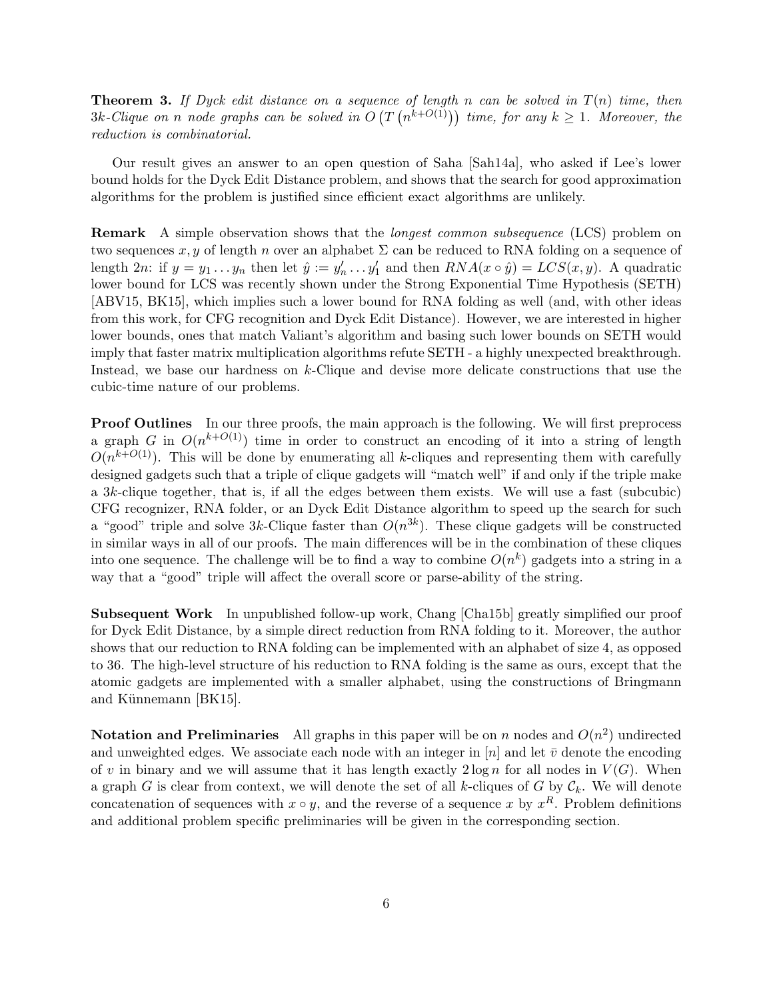**Theorem 3.** If Dyck edit distance on a sequence of length n can be solved in  $T(n)$  time, then 3k-Clique on n node graphs can be solved in  $O(T(n^{k+O(1)}))$  time, for any  $k \geq 1$ . Moreover, the reduction is combinatorial.

Our result gives an answer to an open question of Saha [Sah14a], who asked if Lee's lower bound holds for the Dyck Edit Distance problem, and shows that the search for good approximation algorithms for the problem is justified since efficient exact algorithms are unlikely.

**Remark** A simple observation shows that the *longest common subsequence* (LCS) problem on two sequences  $x, y$  of length n over an alphabet  $\Sigma$  can be reduced to RNA folding on a sequence of length 2n: if  $y = y_1 \ldots y_n$  then let  $\hat{y} := y'_n \ldots y'_1$  and then  $RNA(x \circ \hat{y}) = LCS(x, y)$ . A quadratic lower bound for LCS was recently shown under the Strong Exponential Time Hypothesis (SETH) [ABV15, BK15], which implies such a lower bound for RNA folding as well (and, with other ideas from this work, for CFG recognition and Dyck Edit Distance). However, we are interested in higher lower bounds, ones that match Valiant's algorithm and basing such lower bounds on SETH would imply that faster matrix multiplication algorithms refute SETH - a highly unexpected breakthrough. Instead, we base our hardness on  $k$ -Clique and devise more delicate constructions that use the cubic-time nature of our problems.

**Proof Outlines** In our three proofs, the main approach is the following. We will first preprocess a graph G in  $O(n^{k+O(1)})$  time in order to construct an encoding of it into a string of length  $O(n^{k+O(1)})$ . This will be done by enumerating all k-cliques and representing them with carefully designed gadgets such that a triple of clique gadgets will "match well" if and only if the triple make a 3k-clique together, that is, if all the edges between them exists. We will use a fast (subcubic) CFG recognizer, RNA folder, or an Dyck Edit Distance algorithm to speed up the search for such a "good" triple and solve 3k-Clique faster than  $O(n^{3k})$ . These clique gadgets will be constructed in similar ways in all of our proofs. The main differences will be in the combination of these cliques into one sequence. The challenge will be to find a way to combine  $O(n^k)$  gadgets into a string in a way that a "good" triple will affect the overall score or parse-ability of the string.

Subsequent Work In unpublished follow-up work, Chang [Cha15b] greatly simplified our proof for Dyck Edit Distance, by a simple direct reduction from RNA folding to it. Moreover, the author shows that our reduction to RNA folding can be implemented with an alphabet of size 4, as opposed to 36. The high-level structure of his reduction to RNA folding is the same as ours, except that the atomic gadgets are implemented with a smaller alphabet, using the constructions of Bringmann and Künnemann [BK15].

**Notation and Preliminaries** All graphs in this paper will be on n nodes and  $O(n^2)$  undirected and unweighted edges. We associate each node with an integer in [n] and let  $\bar{v}$  denote the encoding of v in binary and we will assume that it has length exactly  $2 \log n$  for all nodes in  $V(G)$ . When a graph G is clear from context, we will denote the set of all k-cliques of G by  $\mathcal{C}_k$ . We will denote concatenation of sequences with  $x \circ y$ , and the reverse of a sequence x by  $x^R$ . Problem definitions and additional problem specific preliminaries will be given in the corresponding section.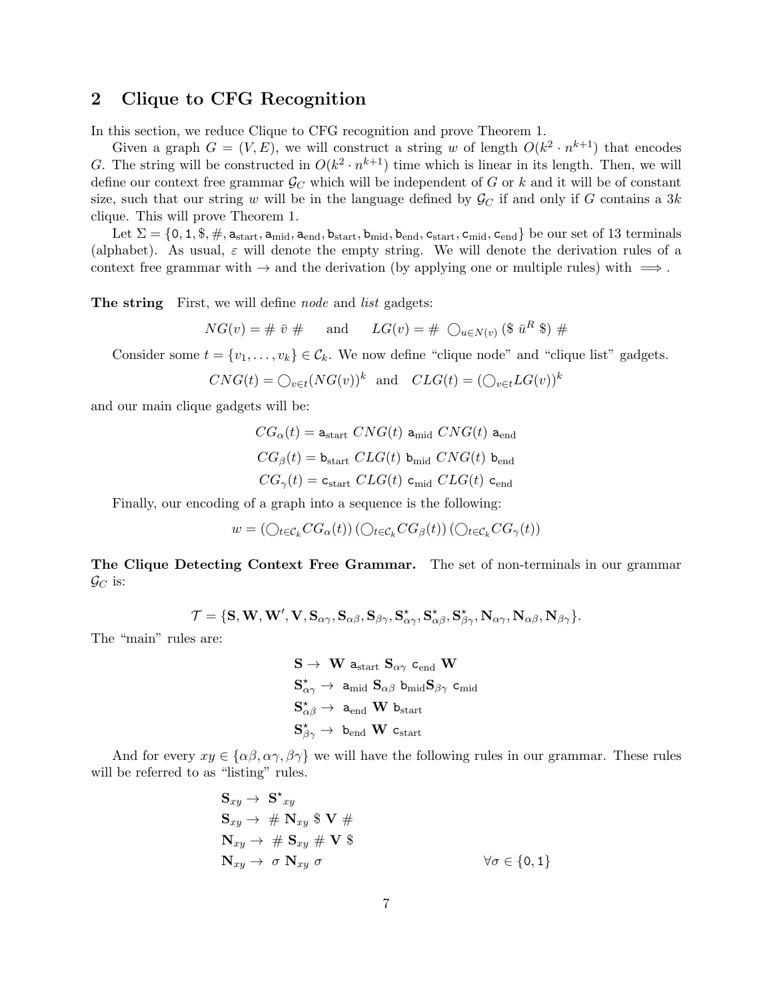# 2 Clique to CFG Recognition

In this section, we reduce Clique to CFG recognition and prove Theorem 1.

Given a graph  $G = (V, E)$ , we will construct a string w of length  $O(k^2 \cdot n^{k+1})$  that encodes G. The string will be constructed in  $O(k^2 \cdot n^{k+1})$  time which is linear in its length. Then, we will define our context free grammar  $\mathcal{G}_C$  which will be independent of G or k and it will be of constant size, such that our string w will be in the language defined by  $\mathcal{G}_C$  if and only if G contains a 3k clique. This will prove Theorem 1.

Let  $\Sigma = \{0, 1, \text{\$}, \#, \text{\$a}_{start}, \text{\$a}_{mid}, \text{\$a}_{end}, \text{\$b}_{start}, \text{\$b}_{mid}, \text{\$b}_{end}, \text{\$c}_{start}, \text{\$c}_{end}\}$  be our set of 13 terminals (alphabet). As usual,  $\varepsilon$  will denote the empty string. We will denote the derivation rules of a context free grammar with  $\rightarrow$  and the derivation (by applying one or multiple rules) with  $\Rightarrow$ .

The string First, we will define *node* and *list* gadgets:

$$
NG(v) = # \overline{v} # \quad \text{and} \quad LG(v) = # \bigcirc_{u \in N(v)} (\$ \overline{u}^R \$) #
$$

Consider some  $t = \{v_1, \ldots, v_k\} \in \mathcal{C}_k$ . We now define "clique node" and "clique list" gadgets.

$$
CNG(t) = \bigcirc_{v \in t} (NG(v))^k \text{ and } CLG(t) = (\bigcirc_{v \in t} LG(v))^k
$$

and our main clique gadgets will be:

$$
CG_{\alpha}(t) = \mathbf{a}_{\text{start}} \ CNG(t) \mathbf{a}_{\text{mid}} \ CNG(t) \mathbf{a}_{\text{end}}
$$
  

$$
CG_{\beta}(t) = \mathbf{b}_{\text{start}} \ CLG(t) \mathbf{b}_{\text{mid}} \ CNG(t) \mathbf{b}_{\text{end}}
$$
  

$$
CG_{\gamma}(t) = \mathbf{c}_{\text{start}} \ CLG(t) \mathbf{c}_{\text{mid}} \ CLG(t) \mathbf{c}_{\text{end}}
$$

Finally, our encoding of a graph into a sequence is the following:

$$
w = \left(\bigcirc_{t \in \mathcal{C}_k} CG_{\alpha}(t)\right) \left(\bigcirc_{t \in \mathcal{C}_k} CG_{\beta}(t)\right) \left(\bigcirc_{t \in \mathcal{C}_k} CG_{\gamma}(t)\right)
$$

The Clique Detecting Context Free Grammar. The set of non-terminals in our grammar  $\mathcal{G}_C$  is:

$$
\mathcal{T} = \{\mathbf{S}, \mathbf{W}, \mathbf{W}', \mathbf{V}, \mathbf{S}_{\alpha\gamma}, \mathbf{S}_{\alpha\beta}, \mathbf{S}_{\beta\gamma}, \mathbf{S}_{\alpha\gamma}^{\star}, \mathbf{S}_{\alpha\beta}^{\star}, \mathbf{S}_{\beta\gamma}^{\star}, \mathbf{N}_{\alpha\gamma}, \mathbf{N}_{\alpha\beta}, \mathbf{N}_{\beta\gamma}\}.
$$

The "main" rules are:

$$
\begin{aligned} \mathbf{S} &\rightarrow \mathbf{W} \text{ a}_{\mathrm{start}} \; \mathbf{S}_{\alpha \gamma} \; \mathbf{c}_{\mathrm{end}} \; \mathbf{W} \\ \mathbf{S}_{\alpha \gamma}^\star &\rightarrow \; \mathbf{a}_{\mathrm{mid}} \; \mathbf{S}_{\alpha \beta} \; \mathbf{b}_{\mathrm{mid}} \mathbf{S}_{\beta \gamma} \; \mathbf{c}_{\mathrm{mid}} \\ \mathbf{S}_{\alpha \beta}^\star &\rightarrow \; \mathbf{a}_{\mathrm{end}} \; \mathbf{W} \; \mathbf{b}_{\mathrm{start}} \\ \mathbf{S}_{\beta \gamma}^\star &\rightarrow \; \mathbf{b}_{\mathrm{end}} \; \mathbf{W} \; \mathbf{c}_{\mathrm{start}} \end{aligned}
$$

And for every  $xy \in {\alpha\beta, \alpha\gamma, \beta\gamma}$  we will have the following rules in our grammar. These rules will be referred to as "listing" rules.

$$
\begin{aligned} &\mathbf{S}_{xy} \rightarrow \ \mathbf{S}^\star{}_{xy} \\ &\mathbf{S}_{xy} \rightarrow \ \#\ \mathbf{N}_{xy} \ \$ \ \mathbf{V} \ \# \\ &\mathbf{N}_{xy} \rightarrow \ \#\ \mathbf{S}_{xy} \ \# \ \mathbf{V} \ \$ \\ &\mathbf{N}_{xy} \rightarrow \ \sigma \ \mathbf{N}_{xy} \ \sigma \end{aligned} \qquad \qquad \forall \sigma \in \{0,1\}
$$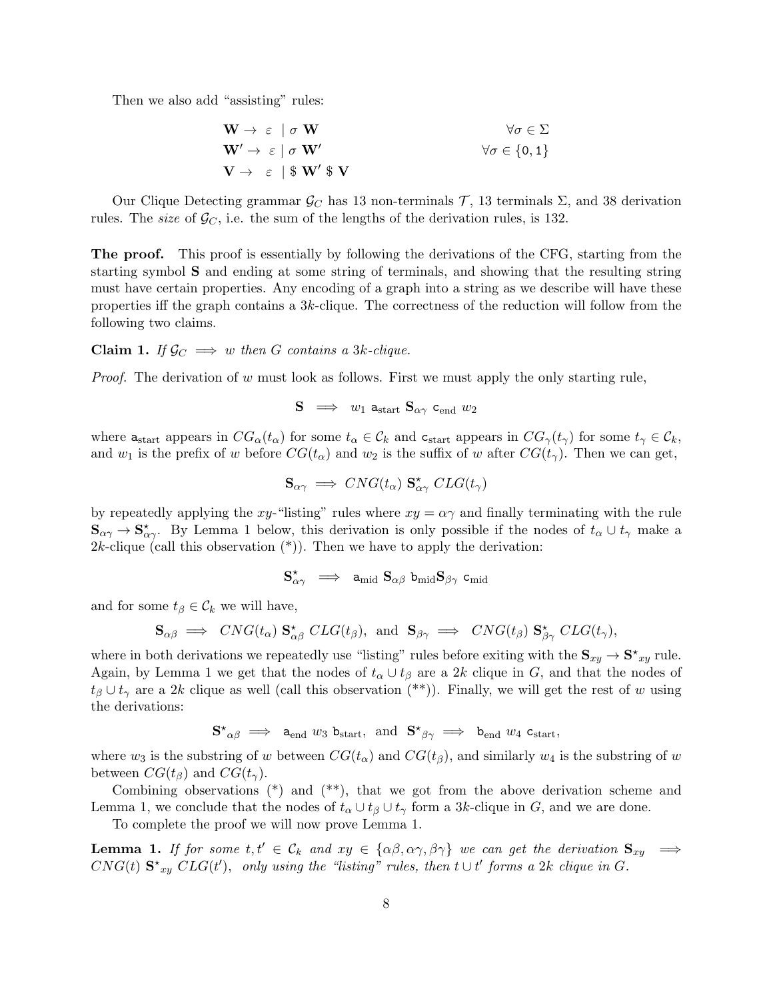Then we also add "assisting" rules:

$$
\begin{array}{ll}\n\mathbf{W} \rightarrow \varepsilon \mid \sigma \mathbf{W} & \forall \sigma \in \Sigma \\
\mathbf{W}' \rightarrow \varepsilon \mid \sigma \mathbf{W}' & \forall \sigma \in \{0, 1\} \\
\mathbf{V} \rightarrow \varepsilon \mid \$ \mathbf{W}' \$ \mathbf{V}\n\end{array}
$$

Our Clique Detecting grammar  $\mathcal{G}_C$  has 13 non-terminals  $\mathcal{T}$ , 13 terminals  $\Sigma$ , and 38 derivation rules. The *size* of  $\mathcal{G}_C$ , i.e. the sum of the lengths of the derivation rules, is 132.

The proof. This proof is essentially by following the derivations of the CFG, starting from the starting symbol S and ending at some string of terminals, and showing that the resulting string must have certain properties. Any encoding of a graph into a string as we describe will have these properties iff the graph contains a 3k-clique. The correctness of the reduction will follow from the following two claims.

**Claim 1.** If  $\mathcal{G}_C \implies w$  then G contains a 3k-clique.

Proof. The derivation of w must look as follows. First we must apply the only starting rule,

$$
\mathbf{S} \;\;\Longrightarrow\;\; w_1\;\mathbf{a}_{\text{start}}\;\mathbf{S}_{\alpha\gamma}\;\mathsf{c}_{\text{end}}\;w_2
$$

where  $a_{start}$  appears in  $CG_{\alpha}(t_{\alpha})$  for some  $t_{\alpha} \in C_k$  and  $c_{start}$  appears in  $CG_{\gamma}(t_{\gamma})$  for some  $t_{\gamma} \in C_k$ , and  $w_1$  is the prefix of w before  $CG(t_{\alpha})$  and  $w_2$  is the suffix of w after  $CG(t_{\gamma})$ . Then we can get,

$$
\mathbf{S}_{\alpha\gamma} \implies CNG(t_\alpha) \; \mathbf{S}_{\alpha\gamma}^\star \; CLG(t_\gamma)
$$

by repeatedly applying the xy-"listing" rules where  $xy = \alpha \gamma$  and finally terminating with the rule  $S_{\alpha\gamma} \to S_{\alpha\gamma}^*$ . By Lemma 1 below, this derivation is only possible if the nodes of  $t_\alpha \cup t_\gamma$  make a 2k-clique (call this observation  $(*)$ ). Then we have to apply the derivation:

$$
\mathbf{S}_{\alpha\gamma}^{\star} \;\; \Longrightarrow \;\; \mathtt{a}_{\text{mid}} \; \mathbf{S}_{\alpha\beta} \; \mathtt{b}_{\text{mid}} \mathbf{S}_{\beta\gamma} \; \mathtt{c}_{\text{mid}}
$$

and for some  $t_\beta \in \mathcal{C}_k$  we will have,

$$
\mathbf{S}_{\alpha\beta} \implies \text{CNG}(t_{\alpha}) \; \mathbf{S}_{\alpha\beta}^{\star} \; \text{CLG}(t_{\beta}), \text{ and } \mathbf{S}_{\beta\gamma} \implies \text{CNG}(t_{\beta}) \; \mathbf{S}_{\beta\gamma}^{\star} \; \text{CLG}(t_{\gamma}),
$$

where in both derivations we repeatedly use "listing" rules before exiting with the  $S_{xy} \to S^*{}_{xy}$  rule. Again, by Lemma 1 we get that the nodes of  $t_{\alpha} \cup t_{\beta}$  are a 2k clique in G, and that the nodes of  $t_\beta\cup t_\gamma$  are a 2k clique as well (call this observation (\*\*)). Finally, we will get the rest of w using the derivations:

 ${\bf S}^\star{}_{\alpha\beta} \implies$  a<sub>end</sub>  $w_3$  b<sub>start</sub>, and  ${\bf S}^\star{}_{\beta\gamma} \implies$  b<sub>end</sub>  $w_4$  c<sub>start</sub>,

where  $w_3$  is the substring of w between  $CG(t_{\alpha})$  and  $CG(t_{\beta})$ , and similarly  $w_4$  is the substring of w between  $CG(t_\beta)$  and  $CG(t_\gamma)$ .

Combining observations (\*) and (\*\*), that we got from the above derivation scheme and Lemma 1, we conclude that the nodes of  $t_{\alpha} \cup t_{\beta} \cup t_{\gamma}$  form a 3k-clique in G, and we are done.

To complete the proof we will now prove Lemma 1.

**Lemma 1.** If for some  $t, t' \in C_k$  and  $xy \in {\alpha \beta, \alpha \gamma, \beta \gamma}$  we can get the derivation  $S_{xy}$  $CNG(t)$   $\mathbf{S}^{\star}_{xy}$   $CLG(t')$ , only using the "listing" rules, then  $t \cup t'$  forms a 2k clique in G.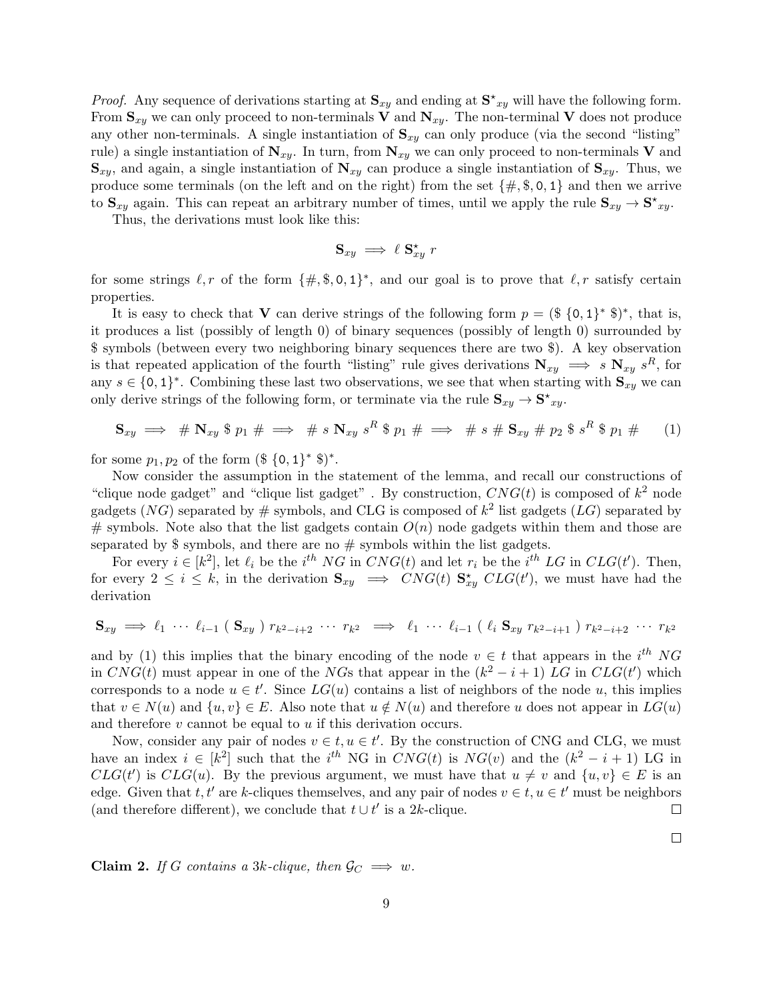*Proof.* Any sequence of derivations starting at  $\mathbf{S}_{xy}$  and ending at  $\mathbf{S}_{xy}^{\star}$  will have the following form. From  $\mathbf{S}_{xy}$  we can only proceed to non-terminals V and  $\mathbf{N}_{xy}$ . The non-terminal V does not produce any other non-terminals. A single instantiation of  $S_{xy}$  can only produce (via the second "listing" rule) a single instantiation of  $N_{xy}$ . In turn, from  $N_{xy}$  we can only proceed to non-terminals V and  $\mathbf{S}_{xy}$ , and again, a single instantiation of  $\mathbf{N}_{xy}$  can produce a single instantiation of  $\mathbf{S}_{xy}$ . Thus, we produce some terminals (on the left and on the right) from the set  $\{\#, \$\,0\,1\}$  and then we arrive to  $\mathbf{S}_{xy}$  again. This can repeat an arbitrary number of times, until we apply the rule  $\mathbf{S}_{xy} \to \mathbf{S}^*_{xy}$ .

Thus, the derivations must look like this:

$$
\mathbf{S}_{xy} \implies \ell \; \mathbf{S}_{xy}^\star \; r
$$

for some strings  $\ell, r$  of the form  $\{\#, \$, 0, 1\}^*$ , and our goal is to prove that  $\ell, r$  satisfy certain properties.

It is easy to check that V can derive strings of the following form  $p = (\frac{6}{6}, \frac{1}{6})^*$ , that is, it produces a list (possibly of length 0) of binary sequences (possibly of length 0) surrounded by \$ symbols (between every two neighboring binary sequences there are two \$). A key observation is that repeated application of the fourth "listing" rule gives derivations  $N_{xy} \implies s N_{xy} s^R$ , for any  $s \in \{0,1\}^*$ . Combining these last two observations, we see that when starting with  $S_{xy}$  we can only derive strings of the following form, or terminate via the rule  $S_{xy} \rightarrow S^{\star}_{xy}$ .

$$
\mathbf{S}_{xy} \implies \# \mathbf{N}_{xy} \$ \ p_1 \# \implies \# \ s \mathbf{N}_{xy} \ s^R \$ \ p_1 \# \implies \# \ s \# \mathbf{S}_{xy} \# \ p_2 \$ \ s^R \$ \ p_1 \# \qquad (1)
$$

for some  $p_1, p_2$  of the form  $(\frac{6}{6}, 1)^*$  \$)<sup>\*</sup>.

Now consider the assumption in the statement of the lemma, and recall our constructions of "clique node gadget" and "clique list gadget". By construction,  $CNG(t)$  is composed of  $k^2$  node gadgets (NG) separated by  $\#$  symbols, and CLG is composed of  $k^2$  list gadgets (LG) separated by # symbols. Note also that the list gadgets contain  $O(n)$  node gadgets within them and those are separated by  $\frac{1}{2}$  symbols, and there are no  $\#$  symbols within the list gadgets.

For every  $i \in [k^2]$ , let  $\ell_i$  be the  $i^{th}$  NG in  $CNG(t)$  and let  $r_i$  be the  $i^{th}$  LG in  $CLG(t')$ . Then, for every  $2 \leq i \leq k$ , in the derivation  $S_{xy} \implies CNG(t) S_{xy}^{\star} CLG(t')$ , we must have had the derivation

$$
\mathbf{S}_{xy} \implies \ell_1 \cdots \ell_{i-1} \left( \mathbf{S}_{xy} \right) r_{k^2-i+2} \cdots r_{k^2} \implies \ell_1 \cdots \ell_{i-1} \left( \ell_i \mathbf{S}_{xy} r_{k^2-i+1} \right) r_{k^2-i+2} \cdots r_{k^2}
$$

and by (1) this implies that the binary encoding of the node  $v \in t$  that appears in the i<sup>th</sup> NG in  $CNG(t)$  must appear in one of the NGs that appear in the  $(k^2 - i + 1)$  LG in  $CLG(t')$  which corresponds to a node  $u \in t'$ . Since  $LG(u)$  contains a list of neighbors of the node u, this implies that  $v \in N(u)$  and  $\{u, v\} \in E$ . Also note that  $u \notin N(u)$  and therefore u does not appear in  $LG(u)$ and therefore  $v$  cannot be equal to  $u$  if this derivation occurs.

Now, consider any pair of nodes  $v \in t, u \in t'$ . By the construction of CNG and CLG, we must have an index  $i \in [k^2]$  such that the  $i^{th}$  NG in  $CNG(t)$  is  $NG(v)$  and the  $(k^2 - i + 1)$  LG in  $CLG(t')$  is  $CLG(u)$ . By the previous argument, we must have that  $u \neq v$  and  $\{u, v\} \in E$  is an edge. Given that  $t, t'$  are k-cliques themselves, and any pair of nodes  $v \in t, u \in t'$  must be neighbors (and therefore different), we conclude that  $t \cup t'$  is a 2k-clique.  $\Box$ 

 $\Box$ 

**Claim 2.** If G contains a 3k-clique, then  $\mathcal{G}_C \implies w$ .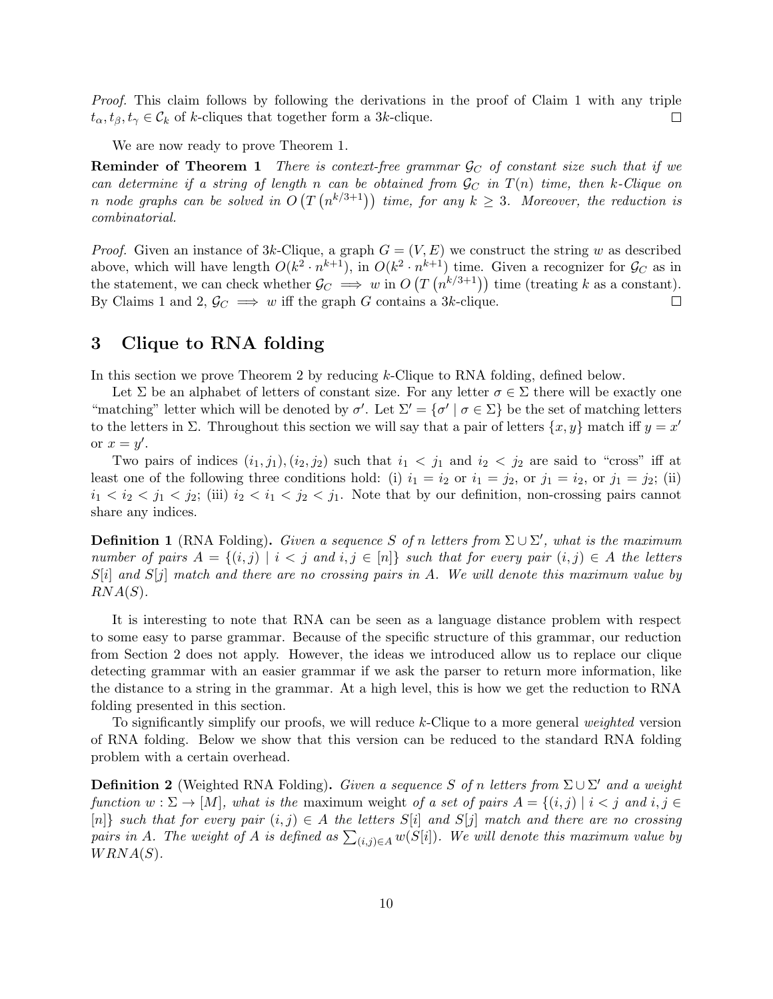Proof. This claim follows by following the derivations in the proof of Claim 1 with any triple  $t_{\alpha}, t_{\beta}, t_{\gamma} \in C_k$  of k-cliques that together form a 3k-clique.  $\Box$ 

We are now ready to prove Theorem 1.

**Reminder of Theorem 1** There is context-free grammar  $\mathcal{G}_C$  of constant size such that if we can determine if a string of length n can be obtained from  $\mathcal{G}_C$  in  $T(n)$  time, then k-Clique on n node graphs can be solved in  $O(T(n^{k/3+1}))$  time, for any  $k \geq 3$ . Moreover, the reduction is combinatorial.

*Proof.* Given an instance of 3k-Clique, a graph  $G = (V, E)$  we construct the string w as described above, which will have length  $O(k^2 \cdot n^{k+1})$ , in  $O(k^2 \cdot n^{k+1})$  time. Given a recognizer for  $\mathcal{G}_C$  as in the statement, we can check whether  $\mathcal{G}_C \implies w$  in  $O(T(n^{k/3+1}))$  time (treating k as a constant). By Claims 1 and 2,  $\mathcal{G}_C \implies w$  iff the graph G contains a 3k-clique.  $\Box$ 

# 3 Clique to RNA folding

In this section we prove Theorem 2 by reducing k-Clique to RNA folding, defined below.

Let  $\Sigma$  be an alphabet of letters of constant size. For any letter  $\sigma \in \Sigma$  there will be exactly one "matching" letter which will be denoted by  $\sigma'$ . Let  $\Sigma' = {\sigma' | \sigma \in \Sigma}$  be the set of matching letters to the letters in  $\Sigma$ . Throughout this section we will say that a pair of letters  $\{x, y\}$  match iff  $y = x'$ or  $x=y'$ .

Two pairs of indices  $(i_1, j_1), (i_2, j_2)$  such that  $i_1 < j_1$  and  $i_2 < j_2$  are said to "cross" iff at least one of the following three conditions hold: (i)  $i_1 = i_2$  or  $i_1 = j_2$ , or  $j_1 = i_2$ , or  $j_1 = j_2$ ; (ii)  $i_1 < i_2 < j_1 < j_2$ ; (iii)  $i_2 < i_1 < j_2 < j_1$ . Note that by our definition, non-crossing pairs cannot share any indices.

**Definition 1** (RNA Folding). Given a sequence S of n letters from  $\Sigma \cup \Sigma'$ , what is the maximum number of pairs  $A = \{(i, j) \mid i < j \text{ and } i, j \in [n]\}$  such that for every pair  $(i, j) \in A$  the letters  $S[i]$  and  $S[j]$  match and there are no crossing pairs in A. We will denote this maximum value by  $RNA(S)$ .

It is interesting to note that RNA can be seen as a language distance problem with respect to some easy to parse grammar. Because of the specific structure of this grammar, our reduction from Section 2 does not apply. However, the ideas we introduced allow us to replace our clique detecting grammar with an easier grammar if we ask the parser to return more information, like the distance to a string in the grammar. At a high level, this is how we get the reduction to RNA folding presented in this section.

To significantly simplify our proofs, we will reduce k-Clique to a more general *weighted* version of RNA folding. Below we show that this version can be reduced to the standard RNA folding problem with a certain overhead.

**Definition 2** (Weighted RNA Folding). Given a sequence S of n letters from  $\Sigma \cup \Sigma'$  and a weight function  $w : \Sigma \to [M]$ , what is the maximum weight of a set of pairs  $A = \{(i, j) | i < j \text{ and } i, j \in$ [n]} such that for every pair  $(i, j) \in A$  the letters  $S[i]$  and  $S[j]$  match and there are no crossing pairs in A. The weight of A is defined as  $\sum_{(i,j)\in A} w(S[i])$ . We will denote this maximum value by  $WRNA(S)$ .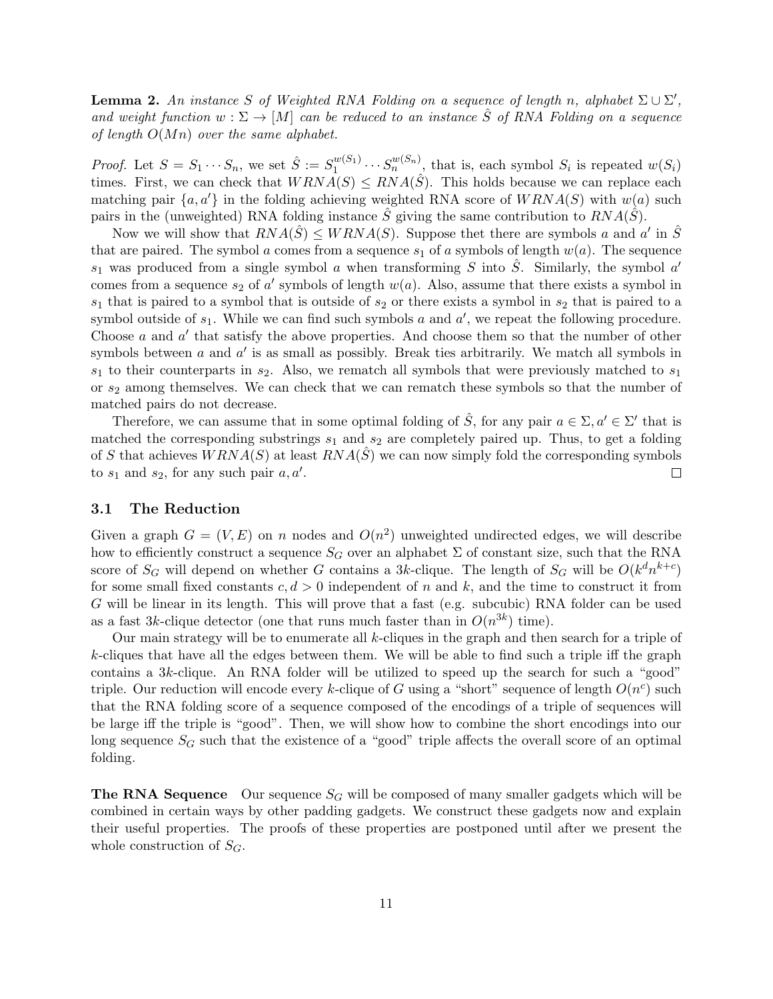**Lemma 2.** An instance S of Weighted RNA Folding on a sequence of length n, alphabet  $\Sigma \cup \Sigma'$ , and weight function  $w : \Sigma \to [M]$  can be reduced to an instance  $\hat{S}$  of RNA Folding on a sequence of length  $O(Mn)$  over the same alphabet.

*Proof.* Let  $S = S_1 \cdots S_n$ , we set  $\hat{S} := S_1^{w(S_1)}$  $u_{1}^{w(S_1)}\cdots S_n^{w(S_n)}$ , that is, each symbol  $S_i$  is repeated  $w(S_i)$ times. First, we can check that  $WRNA(S) \leq RNA(\hat{S})$ . This holds because we can replace each matching pair  $\{a, a'\}$  in the folding achieving weighted RNA score of  $WRNA(S)$  with  $w(a)$  such pairs in the (unweighted) RNA folding instance  $\hat{S}$  giving the same contribution to  $RNA(\hat{S})$ .

Now we will show that  $RNA(\hat{S}) \leq WRNA(S)$ . Suppose thet there are symbols a and a' in  $\hat{S}$ that are paired. The symbol a comes from a sequence  $s_1$  of a symbols of length  $w(a)$ . The sequence  $s_1$  was produced from a single symbol a when transforming S into  $\hat{S}$ . Similarly, the symbol a' comes from a sequence  $s_2$  of a' symbols of length  $w(a)$ . Also, assume that there exists a symbol in  $s_1$  that is paired to a symbol that is outside of  $s_2$  or there exists a symbol in  $s_2$  that is paired to a symbol outside of  $s_1$ . While we can find such symbols a and  $a'$ , we repeat the following procedure. Choose  $a$  and  $a'$  that satisfy the above properties. And choose them so that the number of other symbols between  $a$  and  $a'$  is as small as possibly. Break ties arbitrarily. We match all symbols in  $s_1$  to their counterparts in  $s_2$ . Also, we rematch all symbols that were previously matched to  $s_1$ or  $s_2$  among themselves. We can check that we can rematch these symbols so that the number of matched pairs do not decrease.

Therefore, we can assume that in some optimal folding of  $\hat{S}$ , for any pair  $a \in \Sigma, a' \in \Sigma'$  that is matched the corresponding substrings  $s_1$  and  $s_2$  are completely paired up. Thus, to get a folding of S that achieves  $WRNA(S)$  at least  $RNA(\hat{S})$  we can now simply fold the corresponding symbols to  $s_1$  and  $s_2$ , for any such pair  $a, a'$ .  $\Box$ 

#### 3.1 The Reduction

Given a graph  $G = (V, E)$  on n nodes and  $O(n^2)$  unweighted undirected edges, we will describe how to efficiently construct a sequence  $S_G$  over an alphabet  $\Sigma$  of constant size, such that the RNA score of  $S_G$  will depend on whether G contains a 3k-clique. The length of  $S_G$  will be  $O(k^dn^{k+c})$ for some small fixed constants  $c, d > 0$  independent of n and k, and the time to construct it from G will be linear in its length. This will prove that a fast (e.g. subcubic) RNA folder can be used as a fast 3k-clique detector (one that runs much faster than in  $O(n^{3k})$  time).

Our main strategy will be to enumerate all  $k$ -cliques in the graph and then search for a triple of k-cliques that have all the edges between them. We will be able to find such a triple iff the graph contains a 3k-clique. An RNA folder will be utilized to speed up the search for such a "good" triple. Our reduction will encode every k-clique of G using a "short" sequence of length  $O(n^c)$  such that the RNA folding score of a sequence composed of the encodings of a triple of sequences will be large iff the triple is "good". Then, we will show how to combine the short encodings into our long sequence  $S_G$  such that the existence of a "good" triple affects the overall score of an optimal folding.

**The RNA Sequence** Our sequence  $S_G$  will be composed of many smaller gadgets which will be combined in certain ways by other padding gadgets. We construct these gadgets now and explain their useful properties. The proofs of these properties are postponed until after we present the whole construction of  $S_G$ .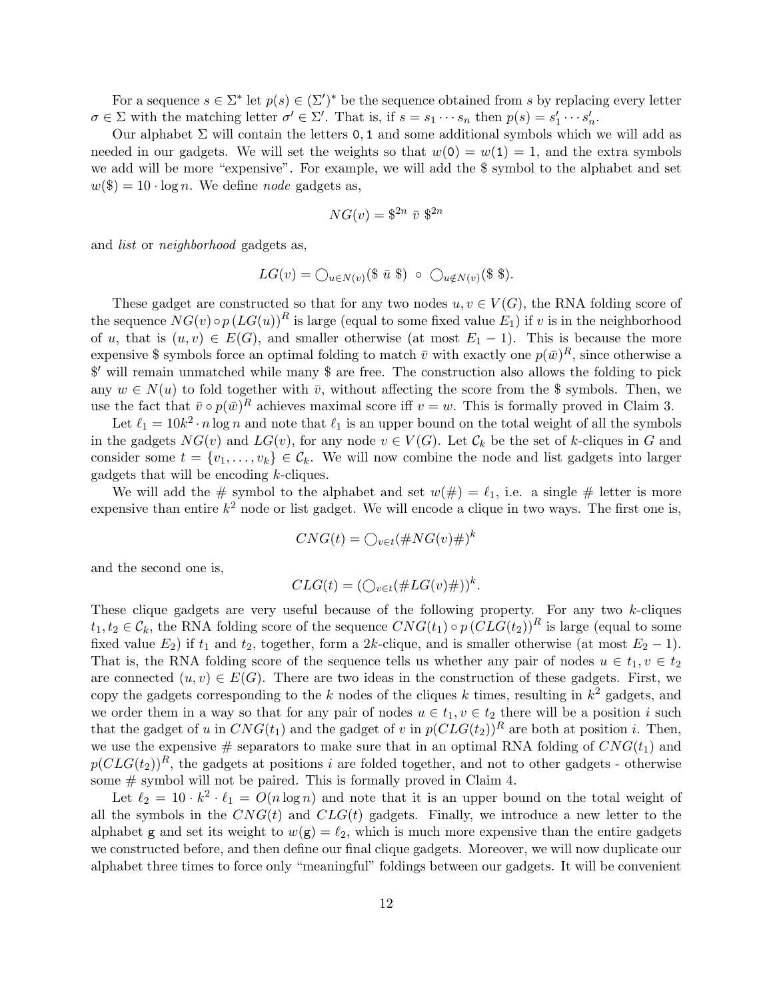For a sequence  $s \in \Sigma^*$  let  $p(s) \in (\Sigma')^*$  be the sequence obtained from s by replacing every letter  $\sigma \in \Sigma$  with the matching letter  $\sigma' \in \Sigma'$ . That is, if  $s = s_1 \cdots s_n$  then  $p(s) = s'_1 \cdots s'_n$ .

Our alphabet  $\Sigma$  will contain the letters 0, 1 and some additional symbols which we will add as needed in our gadgets. We will set the weights so that  $w(0) = w(1) = 1$ , and the extra symbols we add will be more "expensive". For example, we will add the \$ symbol to the alphabet and set  $w(\text{$\$\}) = 10 \cdot \log n$ . We define *node* gadgets as,

$$
NG(v) = \$^{2n} \overline{v} \, \$^{2n}
$$

and list or neighborhood gadgets as,

$$
LG(v) = \bigcirc_{u \in N(v)} (\$\ \bar{u} \$\) \circ \bigcirc_{u \notin N(v)} (\$\ \$).
$$

These gadget are constructed so that for any two nodes  $u, v \in V(G)$ , the RNA folding score of the sequence  $NG(v) \circ p (LG(u))^R$  is large (equal to some fixed value  $E_1$ ) if v is in the neighborhood of u, that is  $(u, v) \in E(G)$ , and smaller otherwise (at most  $E_1 - 1$ ). This is because the more expensive \$ symbols force an optimal folding to match  $\bar{v}$  with exactly one  $p(\bar{w})^R$ , since otherwise a \$ <sup>0</sup> will remain unmatched while many \$ are free. The construction also allows the folding to pick any  $w \in N(u)$  to fold together with  $\bar{v}$ , without affecting the score from the \$ symbols. Then, we use the fact that  $\bar{v} \circ p(\bar{w})^R$  achieves maximal score iff  $v = w$ . This is formally proved in Claim 3.

Let  $\ell_1 = 10k^2 \cdot n \log n$  and note that  $\ell_1$  is an upper bound on the total weight of all the symbols in the gadgets  $NG(v)$  and  $LG(v)$ , for any node  $v \in V(G)$ . Let  $\mathcal{C}_k$  be the set of k-cliques in G and consider some  $t = \{v_1, \ldots, v_k\} \in C_k$ . We will now combine the node and list gadgets into larger gadgets that will be encoding k-cliques.

We will add the # symbol to the alphabet and set  $w(\#) = \ell_1$ , i.e. a single # letter is more expensive than entire  $k^2$  node or list gadget. We will encode a clique in two ways. The first one is,

$$
CNG(t) = \bigcirc_{v \in t} (\#NG(v)\#)^k
$$

and the second one is,

$$
CLG(t) = (\bigcirc_{v \in t} (\#LG(v)\#))^k.
$$

These clique gadgets are very useful because of the following property. For any two  $k$ -cliques  $t_1, t_2 \in \mathcal{C}_k$ , the RNA folding score of the sequence  $CNG(t_1) \circ p \left(CLG(t_2)\right)^R$  is large (equal to some fixed value  $E_2$ ) if  $t_1$  and  $t_2$ , together, form a 2k-clique, and is smaller otherwise (at most  $E_2 - 1$ ). That is, the RNA folding score of the sequence tells us whether any pair of nodes  $u \in t_1, v \in t_2$ are connected  $(u, v) \in E(G)$ . There are two ideas in the construction of these gadgets. First, we copy the gadgets corresponding to the k nodes of the cliques k times, resulting in  $k^2$  gadgets, and we order them in a way so that for any pair of nodes  $u \in t_1, v \in t_2$  there will be a position i such that the gadget of u in  $CNG(t_1)$  and the gadget of v in  $p(CLG(t_2))^R$  are both at position i. Then, we use the expensive  $\#$  separators to make sure that in an optimal RNA folding of  $CNG(t_1)$  and  $p(CLG(t_2))^R$ , the gadgets at positions i are folded together, and not to other gadgets - otherwise some  $#$  symbol will not be paired. This is formally proved in Claim 4.

Let  $\ell_2 = 10 \cdot k^2 \cdot \ell_1 = O(n \log n)$  and note that it is an upper bound on the total weight of all the symbols in the  $CNG(t)$  and  $CLG(t)$  gadgets. Finally, we introduce a new letter to the alphabet g and set its weight to  $w(g) = \ell_2$ , which is much more expensive than the entire gadgets we constructed before, and then define our final clique gadgets. Moreover, we will now duplicate our alphabet three times to force only "meaningful" foldings between our gadgets. It will be convenient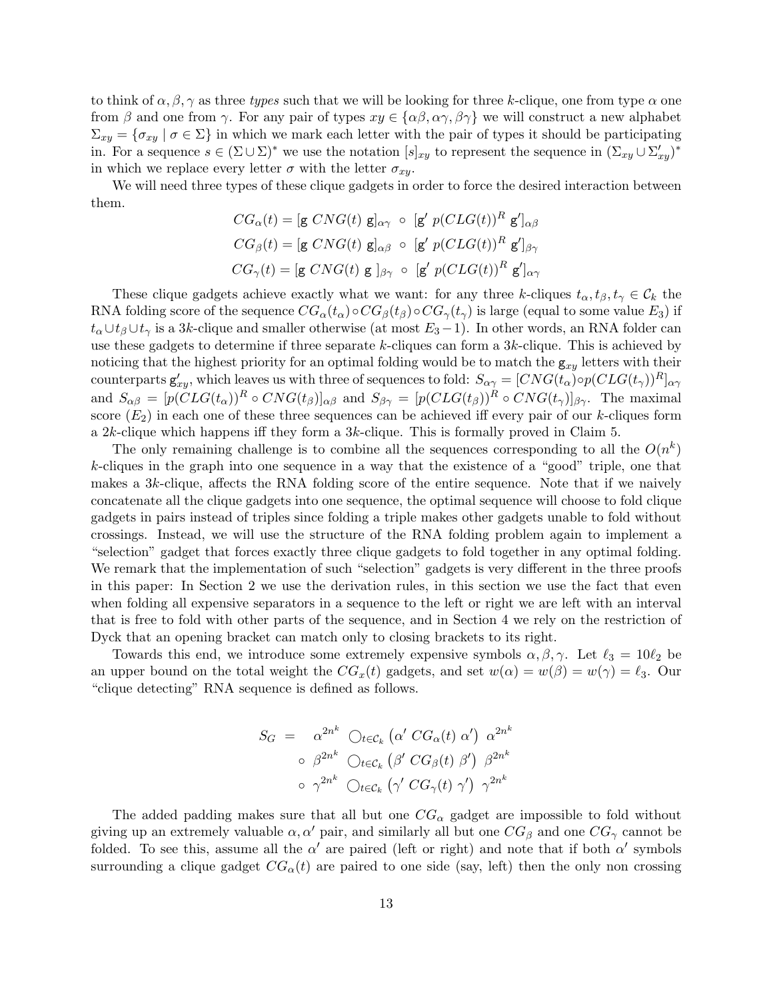to think of  $\alpha, \beta, \gamma$  as three types such that we will be looking for three k-clique, one from type  $\alpha$  one from  $\beta$  and one from  $\gamma$ . For any pair of types  $xy \in {\alpha\beta, \alpha\gamma, \beta\gamma}$  we will construct a new alphabet  $\Sigma_{xy} = \{\sigma_{xy} \mid \sigma \in \Sigma\}$  in which we mark each letter with the pair of types it should be participating in. For a sequence  $s \in (\Sigma \cup \Sigma)^*$  we use the notation  $[s]_{xy}$  to represent the sequence in  $(\Sigma_{xy} \cup \Sigma'_{xy})^*$ in which we replace every letter  $\sigma$  with the letter  $\sigma_{xy}$ .

We will need three types of these clique gadgets in order to force the desired interaction between them.

$$
CG_{\alpha}(t) = [g \ CNG(t) \ g]_{\alpha\gamma} \circ [g' \ p (CLG(t))^R \ g']_{\alpha\beta}
$$
  

$$
CG_{\beta}(t) = [g \ CNG(t) \ g]_{\alpha\beta} \circ [g' \ p (CLG(t))^R \ g']_{\beta\gamma}
$$
  

$$
CG_{\gamma}(t) = [g \ CNG(t) \ g]_{\beta\gamma} \circ [g' \ p (CLG(t))^R \ g']_{\alpha\gamma}
$$

These clique gadgets achieve exactly what we want: for any three k-cliques  $t_{\alpha}, t_{\beta}, t_{\gamma} \in C_k$  the RNA folding score of the sequence  $CG_{\alpha}(t_{\alpha}) \circ CG_{\beta}(t_{\beta}) \circ CG_{\gamma}(t_{\gamma})$  is large (equal to some value  $E_3$ ) if  $t_{\alpha} \cup t_{\beta} \cup t_{\gamma}$  is a 3k-clique and smaller otherwise (at most  $E_3-1$ ). In other words, an RNA folder can use these gadgets to determine if three separate k-cliques can form a  $3k$ -clique. This is achieved by noticing that the highest priority for an optimal folding would be to match the  $g_{xy}$  letters with their counterparts  $g'_{xy}$ , which leaves us with three of sequences to fold:  $S_{\alpha\gamma}=[CNG(t_\alpha)\circ p(CLG(t_\gamma))^R]_{\alpha\gamma}$ and  $S_{\alpha\beta} = [p(CLG(t_{\alpha}))^R \circ CNG(t_{\beta})]_{\alpha\beta}$  and  $S_{\beta\gamma} = [p(CLG(t_{\beta}))^R \circ CNG(t_{\gamma})]_{\beta\gamma}$ . The maximal score  $(E_2)$  in each one of these three sequences can be achieved iff every pair of our k-cliques form a 2k-clique which happens iff they form a 3k-clique. This is formally proved in Claim 5.

The only remaining challenge is to combine all the sequences corresponding to all the  $O(n^k)$ k-cliques in the graph into one sequence in a way that the existence of a "good" triple, one that makes a 3k-clique, affects the RNA folding score of the entire sequence. Note that if we naively concatenate all the clique gadgets into one sequence, the optimal sequence will choose to fold clique gadgets in pairs instead of triples since folding a triple makes other gadgets unable to fold without crossings. Instead, we will use the structure of the RNA folding problem again to implement a "selection" gadget that forces exactly three clique gadgets to fold together in any optimal folding. We remark that the implementation of such "selection" gadgets is very different in the three proofs in this paper: In Section 2 we use the derivation rules, in this section we use the fact that even when folding all expensive separators in a sequence to the left or right we are left with an interval that is free to fold with other parts of the sequence, and in Section 4 we rely on the restriction of Dyck that an opening bracket can match only to closing brackets to its right.

Towards this end, we introduce some extremely expensive symbols  $\alpha, \beta, \gamma$ . Let  $\ell_3 = 10\ell_2$  be an upper bound on the total weight the  $CG_x(t)$  gadgets, and set  $w(\alpha) = w(\beta) = w(\gamma) = \ell_3$ . Our "clique detecting" RNA sequence is defined as follows.

$$
S_G = \alpha^{2n^k} \bigcirc_{t \in \mathcal{C}_k} (\alpha' \, CG_\alpha(t) \, \alpha') \, \alpha^{2n^k}
$$
  
\n
$$
\circ \, \beta^{2n^k} \bigcirc_{t \in \mathcal{C}_k} (\beta' \, CG_\beta(t) \, \beta') \, \beta^{2n^k}
$$
  
\n
$$
\circ \, \gamma^{2n^k} \bigcirc_{t \in \mathcal{C}_k} (\gamma' \, CG_\gamma(t) \, \gamma') \, \gamma^{2n^k}
$$

The added padding makes sure that all but one  $CG_{\alpha}$  gadget are impossible to fold without giving up an extremely valuable  $\alpha, \alpha'$  pair, and similarly all but one  $CG_{\beta}$  and one  $CG_{\gamma}$  cannot be folded. To see this, assume all the  $\alpha'$  are paired (left or right) and note that if both  $\alpha'$  symbols surrounding a clique gadget  $CG_\alpha(t)$  are paired to one side (say, left) then the only non crossing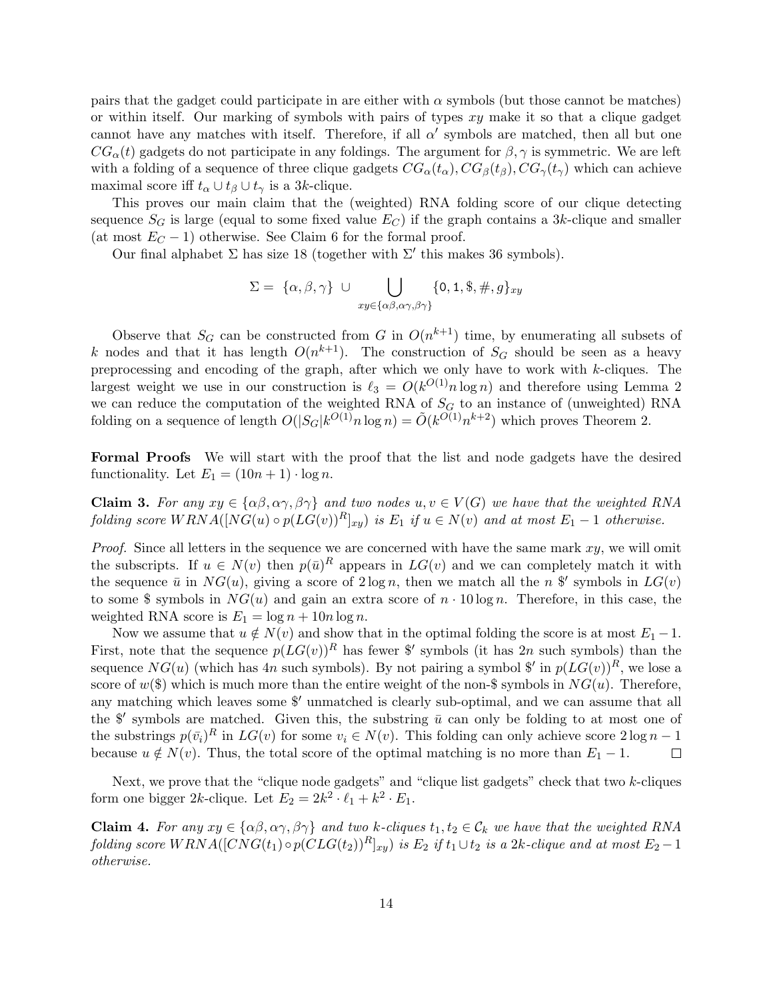pairs that the gadget could participate in are either with  $\alpha$  symbols (but those cannot be matches) or within itself. Our marking of symbols with pairs of types  $xy$  make it so that a clique gadget cannot have any matches with itself. Therefore, if all  $\alpha'$  symbols are matched, then all but one  $CG_{\alpha}(t)$  gadgets do not participate in any foldings. The argument for  $\beta, \gamma$  is symmetric. We are left with a folding of a sequence of three clique gadgets  $CG_{\alpha}(t_{\alpha}), CG_{\beta}(t_{\beta}), CG_{\gamma}(t_{\gamma})$  which can achieve maximal score iff  $t_{\alpha} \cup t_{\beta} \cup t_{\gamma}$  is a 3k-clique.

This proves our main claim that the (weighted) RNA folding score of our clique detecting sequence  $S_G$  is large (equal to some fixed value  $E_C$ ) if the graph contains a 3k-clique and smaller (at most  $E_C - 1$ ) otherwise. See Claim 6 for the formal proof.

Our final alphabet  $\Sigma$  has size 18 (together with  $\Sigma'$  this makes 36 symbols).

$$
\Sigma = \{ \alpha, \beta, \gamma \} \cup \bigcup_{xy \in \{ \alpha\beta, \alpha\gamma, \beta\gamma \}} \{0, 1, \$\, \#, \, g\}_{xy}
$$

Observe that  $S_G$  can be constructed from G in  $O(n^{k+1})$  time, by enumerating all subsets of k nodes and that it has length  $O(n^{k+1})$ . The construction of  $S_G$  should be seen as a heavy preprocessing and encoding of the graph, after which we only have to work with k-cliques. The largest weight we use in our construction is  $\ell_3 = O(k^{O(1)} n \log n)$  and therefore using Lemma 2 we can reduce the computation of the weighted RNA of  $S_G$  to an instance of (unweighted) RNA folding on a sequence of length  $O(|S_G|k^{O(1)}n \log n) = \tilde{O}(k^{O(1)}n^{k+2})$  which proves Theorem 2.

Formal Proofs We will start with the proof that the list and node gadgets have the desired functionality. Let  $E_1 = (10n + 1) \cdot \log n$ .

Claim 3. For any  $xy \in {\alpha\beta, \alpha\gamma, \beta\gamma}$  and two nodes  $u, v \in V(G)$  we have that the weighted RNA folding score  $WRNA([NG(u) \circ p(LG(v))^{R}]_{xy})$  is  $E_1$  if  $u \in N(v)$  and at most  $E_1 - 1$  otherwise.

*Proof.* Since all letters in the sequence we are concerned with have the same mark  $xy$ , we will omit the subscripts. If  $u \in N(v)$  then  $p(\bar{u})^R$  appears in  $LG(v)$  and we can completely match it with the sequence  $\bar{u}$  in  $NG(u)$ , giving a score of  $2 \log n$ , then we match all the n  $\hat{v}$  symbols in  $LG(v)$ to some \$ symbols in  $NG(u)$  and gain an extra score of  $n \cdot 10 \log n$ . Therefore, in this case, the weighted RNA score is  $E_1 = \log n + 10n \log n$ .

Now we assume that  $u \notin N(v)$  and show that in the optimal folding the score is at most  $E_1 - 1$ . First, note that the sequence  $p(LG(v))^R$  has fewer \$' symbols (it has 2n such symbols) than the sequence  $NG(u)$  (which has 4n such symbols). By not pairing a symbol  $\mathcal{E}'$  in  $p(LG(v))^R$ , we lose a score of  $w(\hat{\mathcal{S}})$  which is much more than the entire weight of the non- $\hat{\mathcal{S}}$  symbols in  $NG(u)$ . Therefore, any matching which leaves some  $\mathcal{F}'$  unmatched is clearly sub-optimal, and we can assume that all the  $\mathcal{S}'$  symbols are matched. Given this, the substring  $\bar{u}$  can only be folding to at most one of the substrings  $p(\bar{v}_i)^R$  in  $LG(v)$  for some  $v_i \in N(v)$ . This folding can only achieve score  $2\log n - 1$ because  $u \notin N(v)$ . Thus, the total score of the optimal matching is no more than  $E_1 - 1$ .  $\Box$ 

Next, we prove that the "clique node gadgets" and "clique list gadgets" check that two  $k$ -cliques form one bigger 2k-clique. Let  $E_2 = 2k^2 \cdot \ell_1 + k^2 \cdot E_1$ .

Claim 4. For any  $xy \in {\alpha\beta, \alpha\gamma, \beta\gamma}$  and two k-cliques  $t_1, t_2 \in C_k$  we have that the weighted RNA folding score  $WRNA([CNG(t_1)\circ p(CLG(t_2))$ <sup>R</sup>]<sub>xy</sub>) is E<sub>2</sub> if  $t_1 \cup t_2$  is a 2k-clique and at most E<sub>2</sub> – 1 otherwise.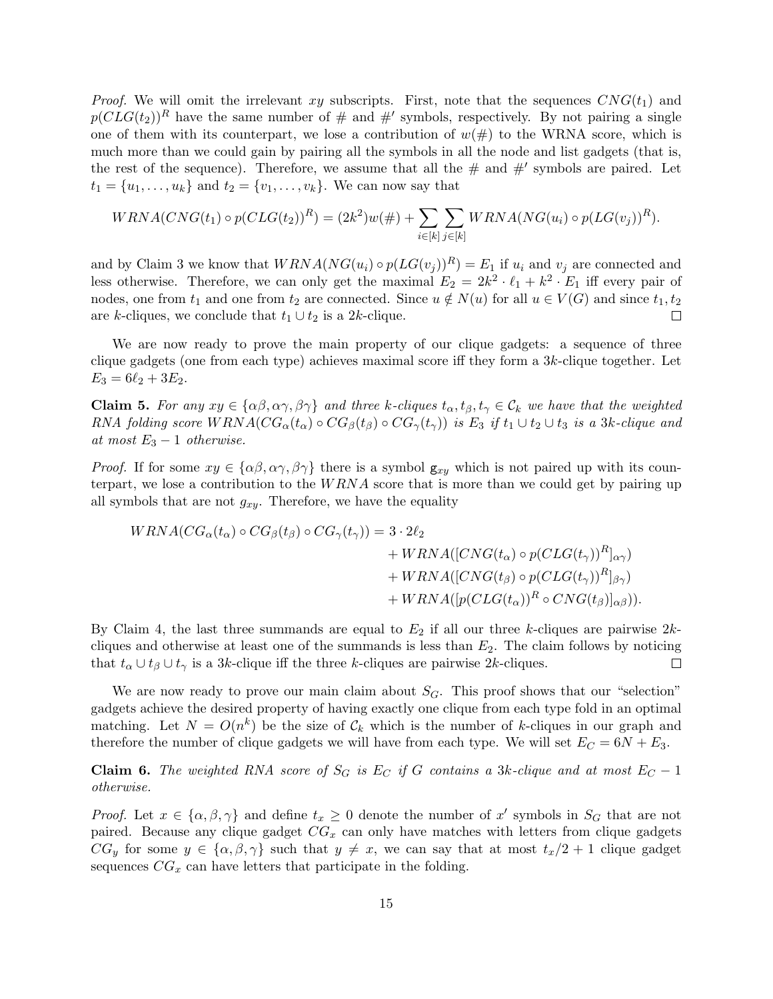*Proof.* We will omit the irrelevant xy subscripts. First, note that the sequences  $CNG(t_1)$  and  $p(CLG(t_2))^R$  have the same number of  $\#$  and  $\#'$  symbols, respectively. By not pairing a single one of them with its counterpart, we lose a contribution of  $w(\#)$  to the WRNA score, which is much more than we could gain by pairing all the symbols in all the node and list gadgets (that is, the rest of the sequence). Therefore, we assume that all the  $#$  and  $#'$  symbols are paired. Let  $t_1 = \{u_1, \ldots, u_k\}$  and  $t_2 = \{v_1, \ldots, v_k\}$ . We can now say that

$$
WRNA(CNG(t_1) \circ p(CLG(t_2))^R) = (2k^2)w(\#) + \sum_{i \in [k]} \sum_{j \in [k]} WRNA(NG(u_i) \circ p(LG(v_j))^R).
$$

and by Claim 3 we know that  $WRNA(NG(u_i) \circ p(LG(v_j))^R) = E_1$  if  $u_i$  and  $v_j$  are connected and less otherwise. Therefore, we can only get the maximal  $E_2 = 2k^2 \cdot \ell_1 + k^2 \cdot E_1$  iff every pair of nodes, one from  $t_1$  and one from  $t_2$  are connected. Since  $u \notin N(u)$  for all  $u \in V(G)$  and since  $t_1, t_2$ are k-cliques, we conclude that  $t_1 \cup t_2$  is a 2k-clique.  $\Box$ 

We are now ready to prove the main property of our clique gadgets: a sequence of three clique gadgets (one from each type) achieves maximal score iff they form a  $3k$ -clique together. Let  $E_3 = 6\ell_2 + 3E_2.$ 

**Claim 5.** For any  $xy \in {\alpha\beta, \alpha\gamma, \beta\gamma}$  and three k-cliques  $t_{\alpha}, t_{\beta}, t_{\gamma} \in C_k$  we have that the weighted RNA folding score  $WRNA(CG_{\alpha}(t_{\alpha}) \circ CG_{\beta}(t_{\beta}) \circ CG_{\gamma}(t_{\gamma}))$  is  $E_3$  if  $t_1 \cup t_2 \cup t_3$  is a 3k-clique and at most  $E_3 - 1$  otherwise.

*Proof.* If for some  $xy \in {\alpha \beta, \alpha \gamma, \beta \gamma}$  there is a symbol  $g_{xy}$  which is not paired up with its counterpart, we lose a contribution to the  $WRNA$  score that is more than we could get by pairing up all symbols that are not  $g_{xy}$ . Therefore, we have the equality

$$
WRNA(CG_{\alpha}(t_{\alpha}) \circ CG_{\beta}(t_{\beta}) \circ CG_{\gamma}(t_{\gamma})) = 3 \cdot 2\ell_2
$$
  
+ WRNA([CNG(t\_{\alpha}) \circ p(CLG(t\_{\gamma}))^R]\_{\alpha\gamma})  
+ WRNA([CNG(t\_{\beta}) \circ p(CLG(t\_{\gamma}))^R]\_{\beta\gamma})  
+ WRNA([CNG(t\_{\alpha}))^R \circ CNG(t\_{\beta})]\_{\alpha\beta}).

By Claim 4, the last three summands are equal to  $E_2$  if all our three k-cliques are pairwise  $2k$ cliques and otherwise at least one of the summands is less than  $E_2$ . The claim follows by noticing that  $t_{\alpha} \cup t_{\beta} \cup t_{\gamma}$  is a 3k-clique iff the three k-cliques are pairwise 2k-cliques.  $\Box$ 

We are now ready to prove our main claim about  $S<sub>G</sub>$ . This proof shows that our "selection" gadgets achieve the desired property of having exactly one clique from each type fold in an optimal matching. Let  $N = O(n^k)$  be the size of  $\mathcal{C}_k$  which is the number of k-cliques in our graph and therefore the number of clique gadgets we will have from each type. We will set  $E_C = 6N + E_3$ .

**Claim 6.** The weighted RNA score of  $S_G$  is  $E_C$  if G contains a 3k-clique and at most  $E_C - 1$ otherwise.

*Proof.* Let  $x \in \{\alpha, \beta, \gamma\}$  and define  $t_x \geq 0$  denote the number of x' symbols in  $S_G$  that are not paired. Because any clique gadget  $CG_x$  can only have matches with letters from clique gadgets  $CG_y$  for some  $y \in {\alpha, \beta, \gamma}$  such that  $y \neq x$ , we can say that at most  $t_x/2 + 1$  clique gadget sequences  $CG_x$  can have letters that participate in the folding.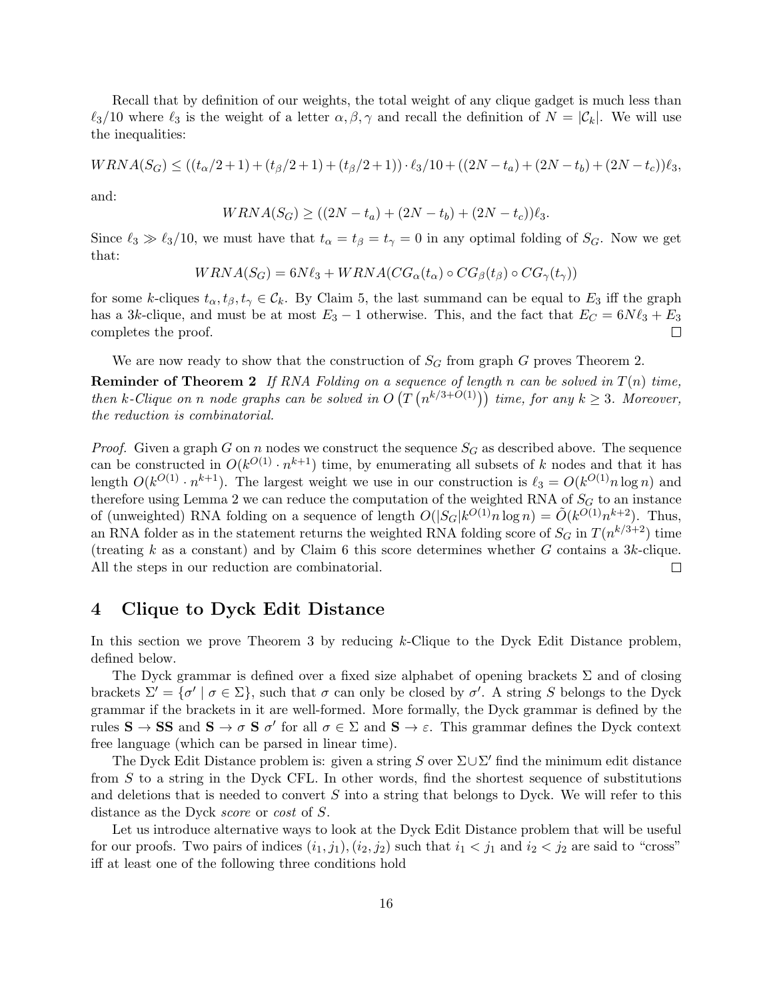Recall that by definition of our weights, the total weight of any clique gadget is much less than  $\ell_3/10$  where  $\ell_3$  is the weight of a letter  $\alpha, \beta, \gamma$  and recall the definition of  $N = |\mathcal{C}_k|$ . We will use the inequalities:

$$
WRNA(S_G) \le ((t_{\alpha}/2+1) + (t_{\beta}/2+1) + (t_{\beta}/2+1)) \cdot \ell_3/10 + ((2N - t_a) + (2N - t_b) + (2N - t_c))\ell_3,
$$

and:

$$
WRNA(S_G) \geq ((2N - t_a) + (2N - t_b) + (2N - t_c))\ell_3.
$$

Since  $\ell_3 \gg \ell_3/10$ , we must have that  $t_\alpha = t_\beta = t_\gamma = 0$  in any optimal folding of  $S_G$ . Now we get that:

$$
WRNA(S_G) = 6N\ell_3 + WRNA(CG_{\alpha}(t_{\alpha}) \circ CG_{\beta}(t_{\beta}) \circ CG_{\gamma}(t_{\gamma}))
$$

for some k-cliques  $t_{\alpha}, t_{\beta}, t_{\gamma} \in C_k$ . By Claim 5, the last summand can be equal to  $E_3$  iff the graph has a 3k-clique, and must be at most  $E_3 - 1$  otherwise. This, and the fact that  $E_C = 6N\ell_3 + E_3$ completes the proof.  $\Box$ 

We are now ready to show that the construction of  $S_G$  from graph G proves Theorem 2.

**Reminder of Theorem 2** If RNA Folding on a sequence of length n can be solved in  $T(n)$  time, then k-Clique on n node graphs can be solved in  $O(T(n^{k/3+O(1)}))$  time, for any  $k \geq 3$ . Moreover, the reduction is combinatorial.

*Proof.* Given a graph G on n nodes we construct the sequence  $S_G$  as described above. The sequence can be constructed in  $O(k^{O(1)} \cdot n^{k+1})$  time, by enumerating all subsets of k nodes and that it has length  $O(k^{O(1)} \cdot n^{k+1})$ . The largest weight we use in our construction is  $\ell_3 = O(k^{O(1)} n \log n)$  and therefore using Lemma 2 we can reduce the computation of the weighted RNA of  $S_G$  to an instance of (unweighted) RNA folding on a sequence of length  $O(|S_G|k^{O(1)}n \log n) = \tilde{O}(k^{O(1)}n^{k+2})$ . Thus, an RNA folder as in the statement returns the weighted RNA folding score of  $S_G$  in  $T(n^{k/3+2})$  time (treating k as a constant) and by Claim 6 this score determines whether G contains a  $3k$ -clique. All the steps in our reduction are combinatorial.  $\Box$ 

## 4 Clique to Dyck Edit Distance

In this section we prove Theorem 3 by reducing k-Clique to the Dyck Edit Distance problem, defined below.

The Dyck grammar is defined over a fixed size alphabet of opening brackets  $\Sigma$  and of closing brackets  $\Sigma' = {\sigma' | \sigma \in \Sigma}$ , such that  $\sigma$  can only be closed by  $\sigma'$ . A string S belongs to the Dyck grammar if the brackets in it are well-formed. More formally, the Dyck grammar is defined by the rules  $S \to SS$  and  $S \to \sigma S$  o' for all  $\sigma \in \Sigma$  and  $S \to \varepsilon$ . This grammar defines the Dyck context free language (which can be parsed in linear time).

The Dyck Edit Distance problem is: given a string S over  $\Sigma \cup \Sigma'$  find the minimum edit distance from S to a string in the Dyck CFL. In other words, find the shortest sequence of substitutions and deletions that is needed to convert S into a string that belongs to Dyck. We will refer to this distance as the Dyck *score* or *cost* of S.

Let us introduce alternative ways to look at the Dyck Edit Distance problem that will be useful for our proofs. Two pairs of indices  $(i_1, j_1), (i_2, j_2)$  such that  $i_1 < j_1$  and  $i_2 < j_2$  are said to "cross" iff at least one of the following three conditions hold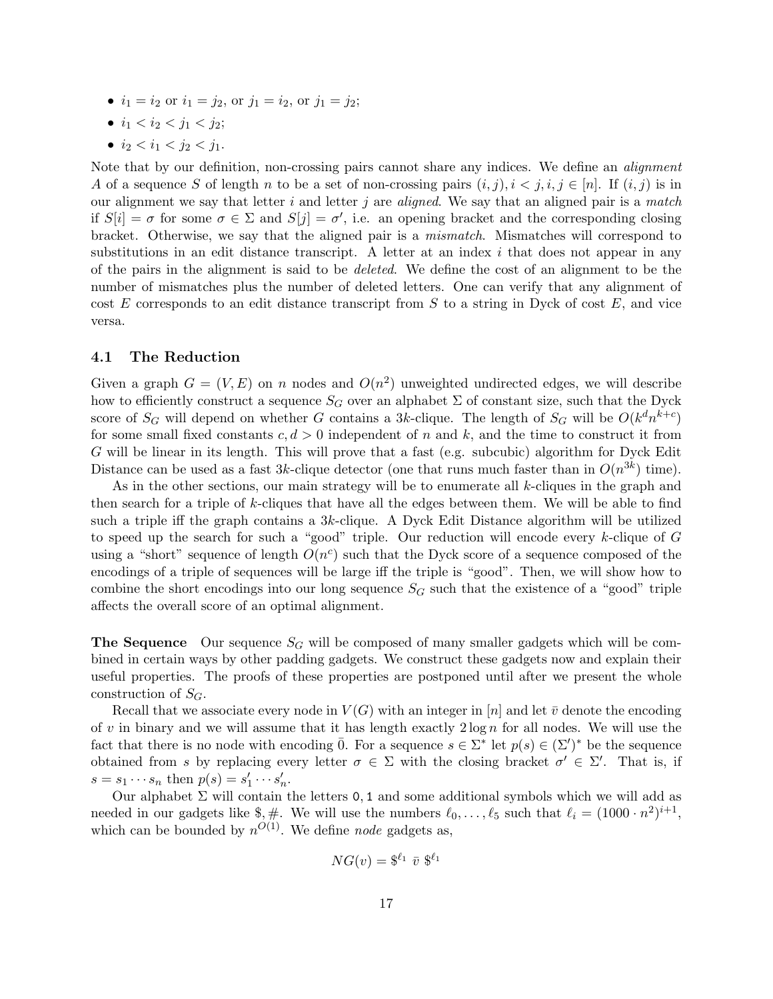- $i_1 = i_2$  or  $i_1 = j_2$ , or  $j_1 = i_2$ , or  $j_1 = j_2$ ;
- $i_1 < i_2 < j_1 < j_2$ ;
- $i_2 < i_1 < j_2 < j_1$ .

Note that by our definition, non-crossing pairs cannot share any indices. We define an *alignment* A of a sequence S of length n to be a set of non-crossing pairs  $(i, j), i < j, i, j \in [n]$ . If  $(i, j)$  is in our alignment we say that letter i and letter j are aligned. We say that an aligned pair is a match if  $S[i] = \sigma$  for some  $\sigma \in \Sigma$  and  $S[j] = \sigma'$ , i.e. an opening bracket and the corresponding closing bracket. Otherwise, we say that the aligned pair is a mismatch. Mismatches will correspond to substitutions in an edit distance transcript. A letter at an index  $i$  that does not appear in any of the pairs in the alignment is said to be deleted. We define the cost of an alignment to be the number of mismatches plus the number of deleted letters. One can verify that any alignment of cost  $E$  corresponds to an edit distance transcript from  $S$  to a string in Dyck of cost  $E$ , and vice versa.

#### 4.1 The Reduction

Given a graph  $G = (V, E)$  on n nodes and  $O(n^2)$  unweighted undirected edges, we will describe how to efficiently construct a sequence  $S_G$  over an alphabet  $\Sigma$  of constant size, such that the Dyck score of  $S_G$  will depend on whether G contains a 3k-clique. The length of  $S_G$  will be  $O(k^dn^{k+c})$ for some small fixed constants  $c, d > 0$  independent of n and k, and the time to construct it from G will be linear in its length. This will prove that a fast (e.g. subcubic) algorithm for Dyck Edit Distance can be used as a fast 3k-clique detector (one that runs much faster than in  $O(n^{3k})$  time).

As in the other sections, our main strategy will be to enumerate all  $k$ -cliques in the graph and then search for a triple of  $k$ -cliques that have all the edges between them. We will be able to find such a triple iff the graph contains a  $3k$ -clique. A Dyck Edit Distance algorithm will be utilized to speed up the search for such a "good" triple. Our reduction will encode every  $k$ -clique of  $G$ using a "short" sequence of length  $O(n^c)$  such that the Dyck score of a sequence composed of the encodings of a triple of sequences will be large iff the triple is "good". Then, we will show how to combine the short encodings into our long sequence  $S_G$  such that the existence of a "good" triple affects the overall score of an optimal alignment.

**The Sequence** Our sequence  $S_G$  will be composed of many smaller gadgets which will be combined in certain ways by other padding gadgets. We construct these gadgets now and explain their useful properties. The proofs of these properties are postponed until after we present the whole construction of  $S_G$ .

Recall that we associate every node in  $V(G)$  with an integer in [n] and let  $\bar{v}$  denote the encoding of v in binary and we will assume that it has length exactly  $2 \log n$  for all nodes. We will use the fact that there is no node with encoding  $\overline{0}$ . For a sequence  $s \in \Sigma^*$  let  $p(s) \in (\Sigma')^*$  be the sequence obtained from s by replacing every letter  $\sigma \in \Sigma$  with the closing bracket  $\sigma' \in \Sigma'$ . That is, if  $s = s_1 \cdots s_n$  then  $p(s) = s'_1 \cdots s'_n$ .

Our alphabet  $\Sigma$  will contain the letters 0, 1 and some additional symbols which we will add as needed in our gadgets like \$, #. We will use the numbers  $\ell_0, \ldots, \ell_5$  such that  $\ell_i = (1000 \cdot n^2)^{i+1}$ , which can be bounded by  $n^{O(1)}$ . We define *node* gadgets as,

$$
NG(v)=\$^{\ell_1}\ \bar v\ \$^{\ell_1}
$$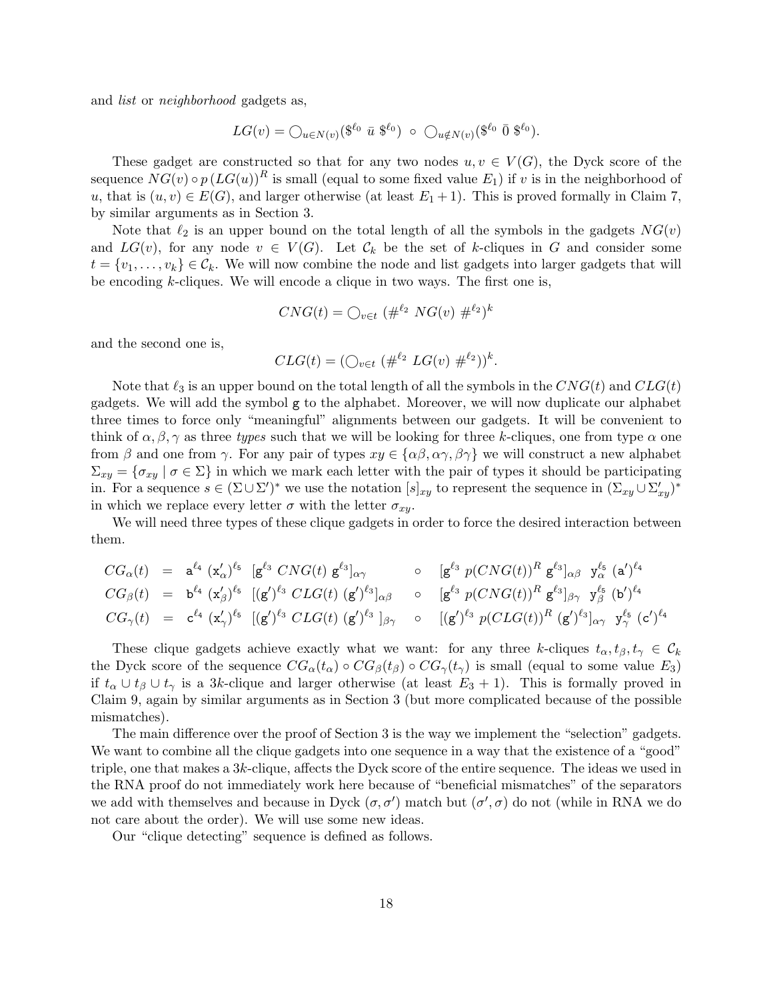and list or neighborhood gadgets as,

$$
LG(v) = \bigcirc_{u \in N(v)} (\mathcal{S}^{\ell_0} \ \bar{u} \ \mathcal{S}^{\ell_0}) \ \circ \ \bigcirc_{u \notin N(v)} (\mathcal{S}^{\ell_0} \ \bar{0} \ \mathcal{S}^{\ell_0}).
$$

These gadget are constructed so that for any two nodes  $u, v \in V(G)$ , the Dyck score of the sequence  $NG(v) \circ p (LG(u))^R$  is small (equal to some fixed value  $E_1$ ) if v is in the neighborhood of u, that is  $(u, v) \in E(G)$ , and larger otherwise (at least  $E_1 + 1$ ). This is proved formally in Claim 7, by similar arguments as in Section 3.

Note that  $\ell_2$  is an upper bound on the total length of all the symbols in the gadgets  $NG(v)$ and  $LG(v)$ , for any node  $v \in V(G)$ . Let  $\mathcal{C}_k$  be the set of k-cliques in G and consider some  $t = \{v_1, \ldots, v_k\} \in \mathcal{C}_k$ . We will now combine the node and list gadgets into larger gadgets that will be encoding  $k$ -cliques. We will encode a clique in two ways. The first one is,

$$
CNG(t) = \bigcirc_{v \in t} (\#^{\ell_2} NG(v) \#^{\ell_2})^k
$$

and the second one is,

$$
CLG(t) = (\bigcirc_{v \in t} (\#^{\ell_2} LG(v) \#^{\ell_2}))^k.
$$

Note that  $\ell_3$  is an upper bound on the total length of all the symbols in the  $CNG(t)$  and  $CLG(t)$ gadgets. We will add the symbol g to the alphabet. Moreover, we will now duplicate our alphabet three times to force only "meaningful" alignments between our gadgets. It will be convenient to think of  $\alpha, \beta, \gamma$  as three types such that we will be looking for three k-cliques, one from type  $\alpha$  one from  $\beta$  and one from  $\gamma$ . For any pair of types  $xy \in {\alpha\beta, \alpha\gamma, \beta\gamma}$  we will construct a new alphabet  $\Sigma_{xy} = \{\sigma_{xy} \mid \sigma \in \Sigma\}$  in which we mark each letter with the pair of types it should be participating in. For a sequence  $s \in (\Sigma \cup \Sigma')^*$  we use the notation  $[s]_{xy}$  to represent the sequence in  $(\Sigma_{xy} \cup \Sigma'_{xy})^*$ in which we replace every letter  $\sigma$  with the letter  $\sigma_{xy}$ .

We will need three types of these clique gadgets in order to force the desired interaction between them.

$$
CG_{\alpha}(t) = \mathbf{a}^{\ell_4} (\mathbf{x}'_{\alpha})^{\ell_5} [\mathbf{g}^{\ell_3} \ CNG(t) \ \mathbf{g}^{\ell_3}]_{\alpha\gamma} \qquad \circ \quad [\mathbf{g}^{\ell_3} \ p(CNG(t))^R \ \mathbf{g}^{\ell_3}]_{\alpha\beta} \ \mathbf{y}^{\ell_5}_{\alpha} (\mathbf{a}')^{\ell_4}
$$
  
\n
$$
CG_{\beta}(t) = \mathbf{b}^{\ell_4} (\mathbf{x}'_{\beta})^{\ell_5} [(\mathbf{g}')^{\ell_3} \ CLG(t) (\mathbf{g}')^{\ell_3}]_{\alpha\beta} \qquad \circ \quad [\mathbf{g}^{\ell_3} \ p(CNG(t))^R \ \mathbf{g}^{\ell_3}]_{\beta\gamma} \ \mathbf{y}^{\ell_5}_{\beta} (\mathbf{b}')^{\ell_4}
$$
  
\n
$$
CG_{\gamma}(t) = \mathbf{c}^{\ell_4} (\mathbf{x}'_{\gamma})^{\ell_5} [(\mathbf{g}')^{\ell_3} \ CLG(t) (\mathbf{g}')^{\ell_3}]_{\beta\gamma} \qquad \circ \quad [(\mathbf{g}')^{\ell_3} \ p(CLG(t))^R \ (\mathbf{g}')^{\ell_3}]_{\alpha\gamma} \ \mathbf{y}^{\ell_5}_{\gamma} (\mathbf{c}')^{\ell_4}
$$

These clique gadgets achieve exactly what we want: for any three k-cliques  $t_{\alpha}, t_{\beta}, t_{\gamma} \in C_k$ the Dyck score of the sequence  $CG_{\alpha}(t_{\alpha}) \circ CG_{\beta}(t_{\beta}) \circ CG_{\gamma}(t_{\gamma})$  is small (equal to some value  $E_3$ ) if  $t_{\alpha} \cup t_{\beta} \cup t_{\gamma}$  is a 3k-clique and larger otherwise (at least  $E_3 + 1$ ). This is formally proved in Claim 9, again by similar arguments as in Section 3 (but more complicated because of the possible mismatches).

The main difference over the proof of Section 3 is the way we implement the "selection" gadgets. We want to combine all the clique gadgets into one sequence in a way that the existence of a "good" triple, one that makes a 3k-clique, affects the Dyck score of the entire sequence. The ideas we used in the RNA proof do not immediately work here because of "beneficial mismatches" of the separators we add with themselves and because in Dyck  $(\sigma, \sigma')$  match but  $(\sigma', \sigma)$  do not (while in RNA we do not care about the order). We will use some new ideas.

Our "clique detecting" sequence is defined as follows.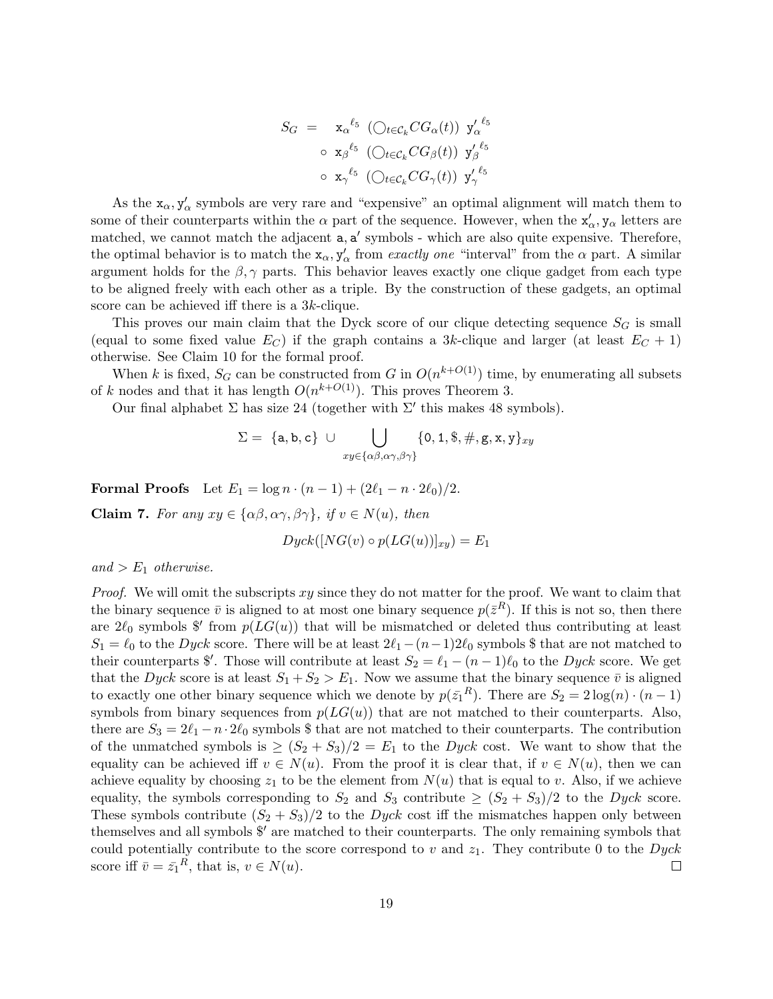$$
S_G = \mathbf{x}_{\alpha}^{\ell_5} (\bigcirc_{t \in \mathcal{C}_k} CG_{\alpha}(t)) \mathbf{y}_{\alpha}^{\ell_5}
$$
  
\n
$$
\circ \mathbf{x}_{\beta}^{\ell_5} (\bigcirc_{t \in \mathcal{C}_k} CG_{\beta}(t)) \mathbf{y}_{\beta}^{\ell_5}
$$
  
\n
$$
\circ \mathbf{x}_{\gamma}^{\ell_5} (\bigcirc_{t \in \mathcal{C}_k} CG_{\gamma}(t)) \mathbf{y}_{\gamma}^{\ell_5}
$$

As the  $x_{\alpha}, y'_{\alpha}$  symbols are very rare and "expensive" an optimal alignment will match them to some of their counterparts within the  $\alpha$  part of the sequence. However, when the  $\mathbf{x}'_{\alpha}, \mathbf{y}_{\alpha}$  letters are matched, we cannot match the adjacent  $a, a'$  symbols - which are also quite expensive. Therefore, the optimal behavior is to match the  $x_{\alpha}, y'_{\alpha}$  from *exactly one* "interval" from the  $\alpha$  part. A similar argument holds for the  $\beta$ ,  $\gamma$  parts. This behavior leaves exactly one clique gadget from each type to be aligned freely with each other as a triple. By the construction of these gadgets, an optimal score can be achieved iff there is a 3k-clique.

This proves our main claim that the Dyck score of our clique detecting sequence  $S_G$  is small (equal to some fixed value  $E_C$ ) if the graph contains a 3k-clique and larger (at least  $E_C + 1$ ) otherwise. See Claim 10 for the formal proof.

When k is fixed,  $S_G$  can be constructed from G in  $O(n^{k+O(1)})$  time, by enumerating all subsets of k nodes and that it has length  $O(n^{k+O(1)})$ . This proves Theorem 3.

Our final alphabet  $\Sigma$  has size 24 (together with  $\Sigma'$  this makes 48 symbols).

$$
\Sigma = \ \{ \mathtt{a}, \mathtt{b}, \mathtt{c} \} \ \cup \ \bigcup_{xy \in \{ \alpha\beta, \alpha\gamma, \beta\gamma \}} \{ \mathtt{0}, \mathtt{1}, \mathtt{\$}, \#, \mathtt{g}, \mathtt{x}, \mathtt{y} \}_{xy}
$$

Formal Proofs Let  $E_1 = \log n \cdot (n-1) + (2\ell_1 - n \cdot 2\ell_0)/2$ .

Claim 7. For any  $xy \in {\alpha\beta, \alpha\gamma, \beta\gamma}$ , if  $v \in N(u)$ , then

$$
Dyck([NG(v) \circ p(LG(u))]_{xy}) = E_1
$$

and  $>E_1$  otherwise.

*Proof.* We will omit the subscripts  $xy$  since they do not matter for the proof. We want to claim that the binary sequence  $\bar{v}$  is aligned to at most one binary sequence  $p(\bar{z}^R)$ . If this is not so, then there are  $2\ell_0$  symbols  $\mathcal{F}$  from  $p(LG(u))$  that will be mismatched or deleted thus contributing at least  $S_1 = \ell_0$  to the Dyck score. There will be at least  $2\ell_1-(n-1)2\ell_0$  symbols \$ that are not matched to their counterparts \$'. Those will contribute at least  $S_2 = \ell_1 - (n - 1)\ell_0$  to the Dyck score. We get that the Dyck score is at least  $S_1 + S_2 > E_1$ . Now we assume that the binary sequence  $\bar{v}$  is aligned to exactly one other binary sequence which we denote by  $p(\bar{z_1}^R)$ . There are  $S_2 = 2 \log(n) \cdot (n-1)$ symbols from binary sequences from  $p(LG(u))$  that are not matched to their counterparts. Also, there are  $S_3 = 2\ell_1 - n \cdot 2\ell_0$  symbols \$ that are not matched to their counterparts. The contribution of the unmatched symbols is  $\geq (S_2 + S_3)/2 = E_1$  to the Dyck cost. We want to show that the equality can be achieved iff  $v \in N(u)$ . From the proof it is clear that, if  $v \in N(u)$ , then we can achieve equality by choosing  $z_1$  to be the element from  $N(u)$  that is equal to v. Also, if we achieve equality, the symbols corresponding to  $S_2$  and  $S_3$  contribute  $\geq (S_2 + S_3)/2$  to the Dyck score. These symbols contribute  $(S_2 + S_3)/2$  to the *Dyck* cost iff the mismatches happen only between themselves and all symbols  $\mathcal{S}'$  are matched to their counterparts. The only remaining symbols that could potentially contribute to the score correspond to v and  $z_1$ . They contribute 0 to the Dyck score iff  $\bar{v} = \bar{z_1}^R$ , that is,  $v \in N(u)$ .  $\Box$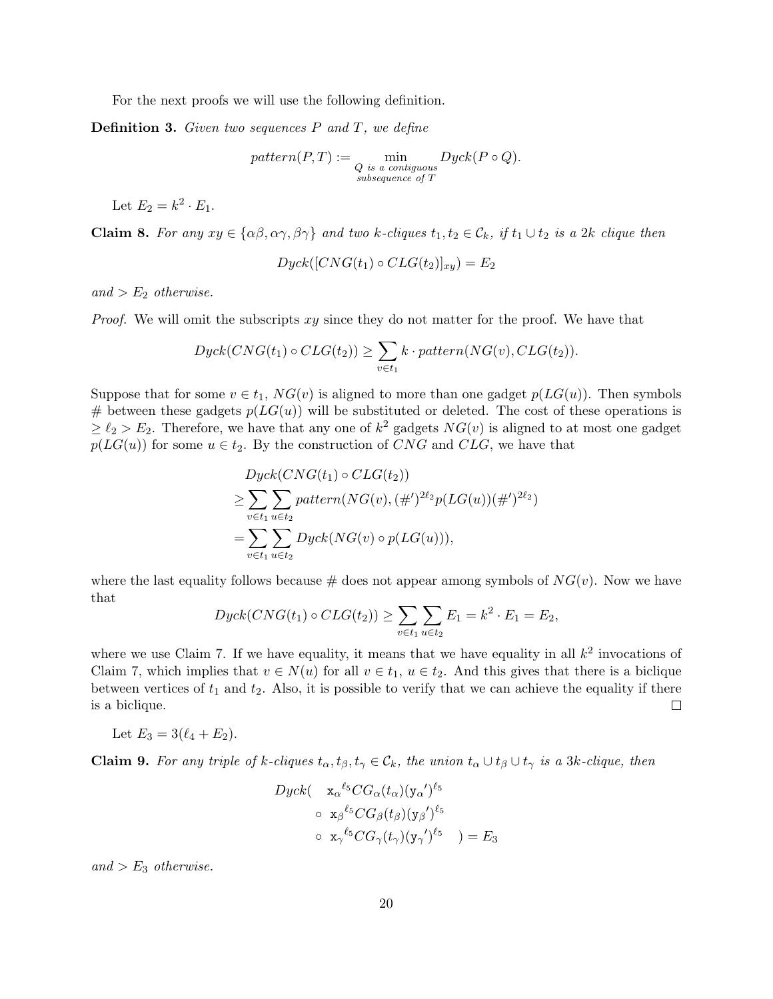For the next proofs we will use the following definition.

**Definition 3.** Given two sequences  $P$  and  $T$ , we define

$$
pattern(P, T) := \min_{\substack{Q \text{ is a contiguous} \\ subsequence of T}} Dyck(P \circ Q).
$$

Let  $E_2 = k^2 \cdot E_1$ .

**Claim 8.** For any  $xy \in {\alpha\beta, \alpha\gamma, \beta\gamma}$  and two k-cliques  $t_1, t_2 \in C_k$ , if  $t_1 \cup t_2$  is a 2k clique then

$$
Dyck([CNG(t_1) \circ CLG(t_2)]_{xy}) = E_2
$$

and  $>E_2$  otherwise.

*Proof.* We will omit the subscripts  $xy$  since they do not matter for the proof. We have that

$$
Dyck(CNG(t_1) \circ CLG(t_2)) \geq \sum_{v \in t_1} k \cdot pattern(NG(v), CLG(t_2)).
$$

Suppose that for some  $v \in t_1$ ,  $NG(v)$  is aligned to more than one gadget  $p(LG(u))$ . Then symbols # between these gadgets  $p(LG(u))$  will be substituted or deleted. The cost of these operations is  $\geq \ell_2 > E_2$ . Therefore, we have that any one of  $k^2$  gadgets  $NG(v)$  is aligned to at most one gadget  $p(LG(u))$  for some  $u \in t_2$ . By the construction of CNG and CLG, we have that

$$
Dyck(CNG(t_1) \circ CLG(t_2))
$$
  
\n
$$
\geq \sum_{v \in t_1} \sum_{u \in t_2} pattern(NG(v), (\#')^{2\ell_2} p(LG(u)) (\#')^{2\ell_2})
$$
  
\n
$$
= \sum_{v \in t_1} \sum_{u \in t_2} Dyck(NG(v) \circ p(LG(u))),
$$

where the last equality follows because  $\#$  does not appear among symbols of  $NG(v)$ . Now we have that

$$
Dyck(CNG(t_1) \circ CLG(t_2)) \ge \sum_{v \in t_1} \sum_{u \in t_2} E_1 = k^2 \cdot E_1 = E_2,
$$

where we use Claim 7. If we have equality, it means that we have equality in all  $k^2$  invocations of Claim 7, which implies that  $v \in N(u)$  for all  $v \in t_1$ ,  $u \in t_2$ . And this gives that there is a biclique between vertices of  $t_1$  and  $t_2$ . Also, it is possible to verify that we can achieve the equality if there is a biclique.  $\Box$ 

Let  $E_3 = 3(\ell_4 + E_2)$ .

**Claim 9.** For any triple of k-cliques  $t_{\alpha}, t_{\beta}, t_{\gamma} \in C_k$ , the union  $t_{\alpha} \cup t_{\beta} \cup t_{\gamma}$  is a 3k-clique, then

$$
Dyck\left(\begin{array}{cc} {\mathbf{x}_{\alpha}}^{\ell_{5}}CG_{\alpha}(t_{\alpha})({\mathbf{y}_{\alpha}}')^{\ell_{5}}\\ \circ {\mathbf{x}_{\beta}}^{\ell_{5}}CG_{\beta}(t_{\beta})({\mathbf{y}_{\beta}}')^{\ell_{5}}\\ \circ {\mathbf{x}_{\gamma}}^{\ell_{5}}CG_{\gamma}(t_{\gamma})({\mathbf{y}_{\gamma}}')^{\ell_{5}} \end{array}\right)=E_{3}
$$

and  $>E_3$  otherwise.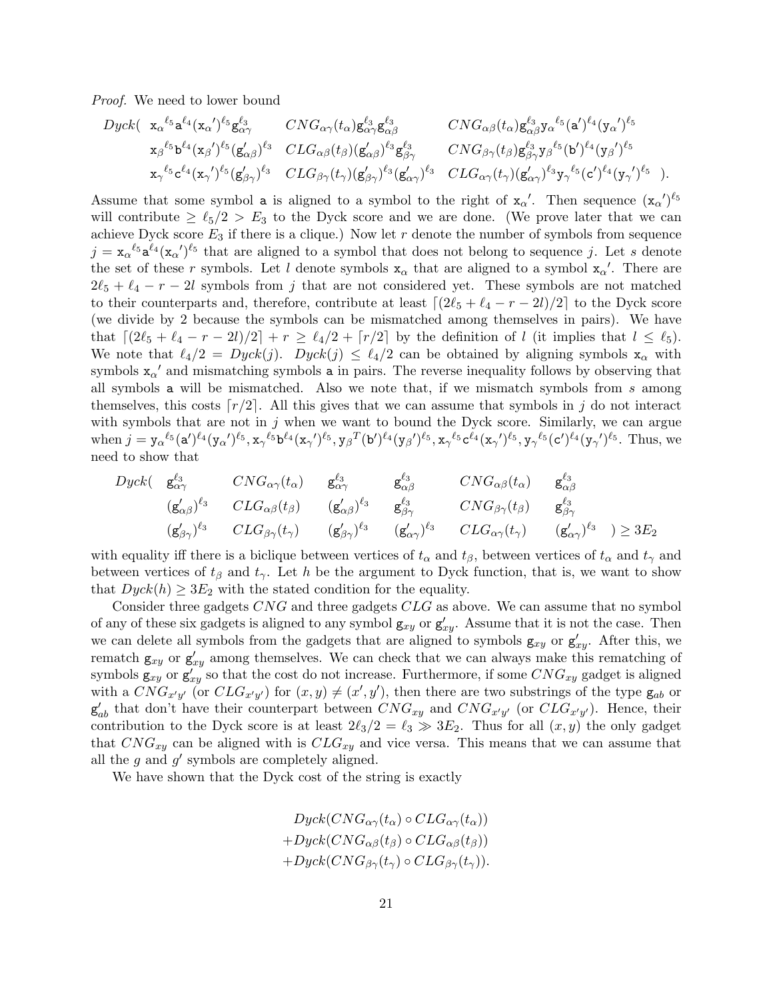Proof. We need to lower bound

$$
Dyck\left(\begin{array}{cc} \mathbf{x}_{\alpha}{}^{\ell_{5}}\mathbf{a}^{\ell_{4}}(\mathbf{x}_{\alpha}'){}^{\ell_{5}}\mathbf{g}^{\ell_{3}}_{\alpha\gamma} & CNG_{\alpha\gamma}(t_{\alpha})\mathbf{g}^{\ell_{3}}_{\alpha\gamma}\mathbf{g}^{\ell_{3}}_{\alpha\beta} & CNG_{\alpha\beta}(t_{\alpha})\mathbf{g}^{\ell_{3}}_{\alpha\beta}\mathbf{y}_{\alpha}{}^{\ell_{5}}(\mathbf{a}')^{\ell_{4}}(\mathbf{y}_{\alpha}')^{\ell_{5}} \\ \mathbf{x}_{\beta}{}^{\ell_{5}}\mathbf{b}^{\ell_{4}}(\mathbf{x}_{\beta}')^{\ell_{5}}(\mathbf{g}'_{\alpha\beta})^{\ell_{3}} & CLG_{\alpha\beta}(t_{\beta})(\mathbf{g}'_{\alpha\beta})^{\ell_{3}}\mathbf{g}^{\ell_{3}}_{\beta\gamma} & CNG_{\beta\gamma}(t_{\beta})\mathbf{g}^{\ell_{3}}_{\beta\gamma}\mathbf{y}_{\beta}{}^{\ell_{5}}(\mathbf{b}')^{\ell_{4}}(\mathbf{y}_{\beta}')^{\ell_{5}} \\ \mathbf{x}_{\gamma}{}^{\ell_{5}}c^{\ell_{4}}(\mathbf{x}_{\gamma}')^{\ell_{5}}(\mathbf{g}'_{\beta\gamma})^{\ell_{3}} & CLG_{\beta\gamma}(t_{\gamma})(\mathbf{g}'_{\beta\gamma})^{\ell_{3}}\mathbf{g}^{\ell_{3}}_{\alpha\gamma} & CLG_{\alpha\gamma}(t_{\gamma})(\mathbf{g}'_{\alpha\gamma})^{\ell_{3}}\mathbf{y}_{\gamma}{}^{\ell_{5}}(\mathbf{c}')^{\ell_{4}}(\mathbf{y}_{\gamma}')^{\ell_{5}} \end{array} \right).
$$

Assume that some symbol a is aligned to a symbol to the right of  $x_{\alpha}'$ . Then sequence  $(x_{\alpha}')^{\ell_5}$ will contribute  $\geq \ell_5/2 > E_3$  to the Dyck score and we are done. (We prove later that we can achieve Dyck score  $E_3$  if there is a clique.) Now let  $r$  denote the number of symbols from sequence  $j = \mathbf{x}_{\alpha}^{\ell_5} \mathbf{a}^{\ell_4} (\mathbf{x}_{\alpha})^{\ell_5}$  that are aligned to a symbol that does not belong to sequence j. Let s denote the set of these r symbols. Let l denote symbols  $x_{\alpha}$  that are aligned to a symbol  $x_{\alpha}'$ . There are  $2\ell_5 + \ell_4 - r - 2l$  symbols from j that are not considered yet. These symbols are not matched to their counterparts and, therefore, contribute at least  $\left[\left(2\ell_5 + \ell_4 - r - 2l\right)/2\right]$  to the Dyck score (we divide by 2 because the symbols can be mismatched among themselves in pairs). We have that  $\lceil (2\ell_5 + \ell_4 - r - 2l)/2 \rceil + r \ge \ell_4/2 + \lceil r/2 \rceil$  by the definition of l (it implies that  $l \le \ell_5$ ). We note that  $\ell_4/2 = Dyck(j)$ .  $Dyck(j) \leq \ell_4/2$  can be obtained by aligning symbols  $x_\alpha$  with symbols  $x_{\alpha}'$  and mismatching symbols a in pairs. The reverse inequality follows by observing that all symbols a will be mismatched. Also we note that, if we mismatch symbols from  $s$  among themselves, this costs  $\lceil r/2 \rceil$ . All this gives that we can assume that symbols in j do not interact with symbols that are not in  $j$  when we want to bound the Dyck score. Similarly, we can argue when  $j = y_\alpha{}^{\ell_5}(\mathsf{a}')^{\ell_4} (y_\alpha')^{\ell_5}, x_\gamma{}^{\ell_5} b^{\ell_4} (x_\gamma')^{\ell_5}, y_\beta{}^T (b')^{\ell_4} (y_\beta')^{\ell_5}, x_\gamma{}^{\ell_5} c^{\ell_4} (x_\gamma')^{\ell_5}, y_\gamma{}^{\ell_5} (c')^{\ell_4} (y_\gamma')^{\ell_5}$ . Thus, we need to show that

$$
\begin{array}{ccccccccc} Dyck( &{\bf g}^{\ell_3}_{\alpha\gamma} & CNG_{\alpha\gamma}(t_{\alpha}) & {\bf g}^{\ell_3}_{\alpha\gamma} & {\bf g}^{\ell_3}_{\alpha\beta} & CNG_{\alpha\beta}(t_{\alpha}) & {\bf g}^{\ell_3}_{\alpha\beta} \\ & & ({\bf g}'_{\alpha\beta})^{\ell_3} & CLG_{\alpha\beta}(t_{\beta}) & ({\bf g}'_{\alpha\beta})^{\ell_3} & {\bf g}^{\ell_3}_{\beta\gamma} & CNG_{\beta\gamma}(t_{\beta}) & {\bf g}^{\ell_3}_{\beta\gamma} \\ & & & ({\bf g}'_{\beta\gamma})^{\ell_3} & CLG_{\beta\gamma}(t_{\gamma}) & ({\bf g}'_{\beta\gamma})^{\ell_3} & ({\bf g}'_{\alpha\gamma})^{\ell_3} & CLG_{\alpha\gamma}(t_{\gamma}) & ({\bf g}'_{\alpha\gamma})^{\ell_3} & & \end{array}
$$

with equality iff there is a biclique between vertices of  $t_{\alpha}$  and  $t_{\beta}$ , between vertices of  $t_{\alpha}$  and  $t_{\gamma}$  and between vertices of  $t_\beta$  and  $t_\gamma$ . Let h be the argument to Dyck function, that is, we want to show that  $Dyck(h) \geq 3E_2$  with the stated condition for the equality.

Consider three gadgets CNG and three gadgets CLG as above. We can assume that no symbol of any of these six gadgets is aligned to any symbol  $g_{xy}$  or  $g'_{xy}$ . Assume that it is not the case. Then we can delete all symbols from the gadgets that are aligned to symbols  $g_{xy}$  or  $g'_{xy}$ . After this, we rematch  $g_{xy}$  or  $g'_{xy}$  among themselves. We can check that we can always make this rematching of symbols  $g_{xy}$  or  $g'_{xy}$  so that the cost do not increase. Furthermore, if some  $CNG_{xy}$  gadget is aligned with a  $CNG_{x'y'}$  (or  $CLG_{x'y'}$ ) for  $(x, y) \neq (x', y')$ , then there are two substrings of the type  $g_{ab}$  or  $g'_{ab}$  that don't have their counterpart between  $CNG_{xy}$  and  $CNG_{x'y'}$  (or  $CLG_{x'y'}$ ). Hence, their contribution to the Dyck score is at least  $2\ell_3/2 = \ell_3 \gg 3E_2$ . Thus for all  $(x, y)$  the only gadget that  $CNG_{xy}$  can be aligned with is  $CLG_{xy}$  and vice versa. This means that we can assume that all the  $g$  and  $g'$  symbols are completely aligned.

We have shown that the Dyck cost of the string is exactly

$$
Dyck(CNG_{\alpha\gamma}(t_{\alpha}) \circ CLG_{\alpha\gamma}(t_{\alpha}))
$$
  
+
$$
Dyck(CNG_{\alpha\beta}(t_{\beta}) \circ CLG_{\alpha\beta}(t_{\beta}))
$$
  
+
$$
Dyck(CNG_{\beta\gamma}(t_{\gamma}) \circ CLG_{\beta\gamma}(t_{\gamma})).
$$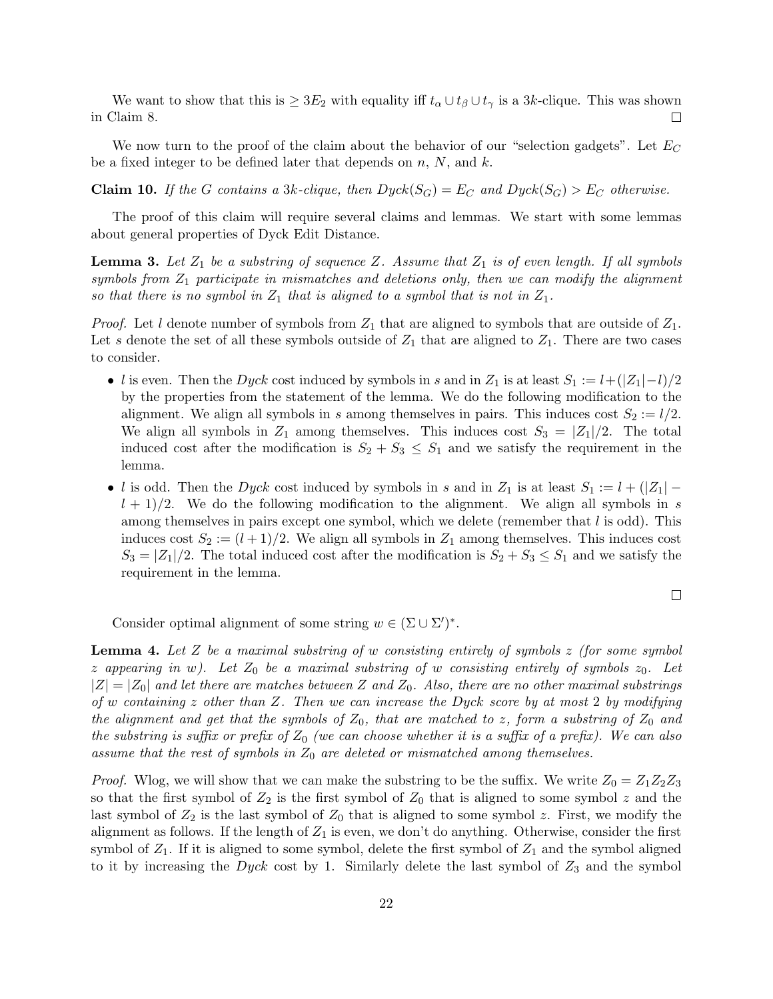We want to show that this is  $\geq 3E_2$  with equality iff  $t_\alpha \cup t_\beta \cup t_\gamma$  is a 3k-clique. This was shown in Claim 8.  $\Box$ 

We now turn to the proof of the claim about the behavior of our "selection gadgets". Let  $E_C$ be a fixed integer to be defined later that depends on  $n, N$ , and  $k$ .

**Claim 10.** If the G contains a 3k-clique, then  $Dyck(S_G) = E_C$  and  $Dyck(S_G) > E_C$  otherwise.

The proof of this claim will require several claims and lemmas. We start with some lemmas about general properties of Dyck Edit Distance.

**Lemma 3.** Let  $Z_1$  be a substring of sequence Z. Assume that  $Z_1$  is of even length. If all symbols symbols from  $Z_1$  participate in mismatches and deletions only, then we can modify the alignment so that there is no symbol in  $Z_1$  that is aligned to a symbol that is not in  $Z_1$ .

*Proof.* Let l denote number of symbols from  $Z_1$  that are aligned to symbols that are outside of  $Z_1$ . Let s denote the set of all these symbols outside of  $Z_1$  that are aligned to  $Z_1$ . There are two cases to consider.

- l is even. Then the Dyck cost induced by symbols in s and in  $Z_1$  is at least  $S_1 := l + (|Z_1| l)/2$ by the properties from the statement of the lemma. We do the following modification to the alignment. We align all symbols in s among themselves in pairs. This induces cost  $S_2 := l/2$ . We align all symbols in  $Z_1$  among themselves. This induces cost  $S_3 = |Z_1|/2$ . The total induced cost after the modification is  $S_2 + S_3 \leq S_1$  and we satisfy the requirement in the lemma.
- l is odd. Then the Dyck cost induced by symbols in s and in  $Z_1$  is at least  $S_1 := l + (|Z_1|$  $l + 1/2$ . We do the following modification to the alignment. We align all symbols in s among themselves in pairs except one symbol, which we delete (remember that  $l$  is odd). This induces cost  $S_2 := (l+1)/2$ . We align all symbols in  $Z_1$  among themselves. This induces cost  $S_3 = |Z_1|/2$ . The total induced cost after the modification is  $S_2 + S_3 \leq S_1$  and we satisfy the requirement in the lemma.

 $\Box$ 

Consider optimal alignment of some string  $w \in (\Sigma \cup \Sigma')^*$ .

**Lemma 4.** Let Z be a maximal substring of w consisting entirely of symbols  $z$  (for some symbol z appearing in w). Let  $Z_0$  be a maximal substring of w consisting entirely of symbols  $z_0$ . Let  $|Z| = |Z_0|$  and let there are matches between Z and  $Z_0$ . Also, there are no other maximal substrings of w containing z other than Z. Then we can increase the Dyck score by at most 2 by modifying the alignment and get that the symbols of  $Z_0$ , that are matched to z, form a substring of  $Z_0$  and the substring is suffix or prefix of  $Z_0$  (we can choose whether it is a suffix of a prefix). We can also assume that the rest of symbols in  $Z_0$  are deleted or mismatched among themselves.

*Proof.* Wlog, we will show that we can make the substring to be the suffix. We write  $Z_0 = Z_1 Z_2 Z_3$ so that the first symbol of  $Z_2$  is the first symbol of  $Z_0$  that is aligned to some symbol z and the last symbol of  $Z_2$  is the last symbol of  $Z_0$  that is aligned to some symbol z. First, we modify the alignment as follows. If the length of  $Z_1$  is even, we don't do anything. Otherwise, consider the first symbol of  $Z_1$ . If it is aligned to some symbol, delete the first symbol of  $Z_1$  and the symbol aligned to it by increasing the Dyck cost by 1. Similarly delete the last symbol of  $Z_3$  and the symbol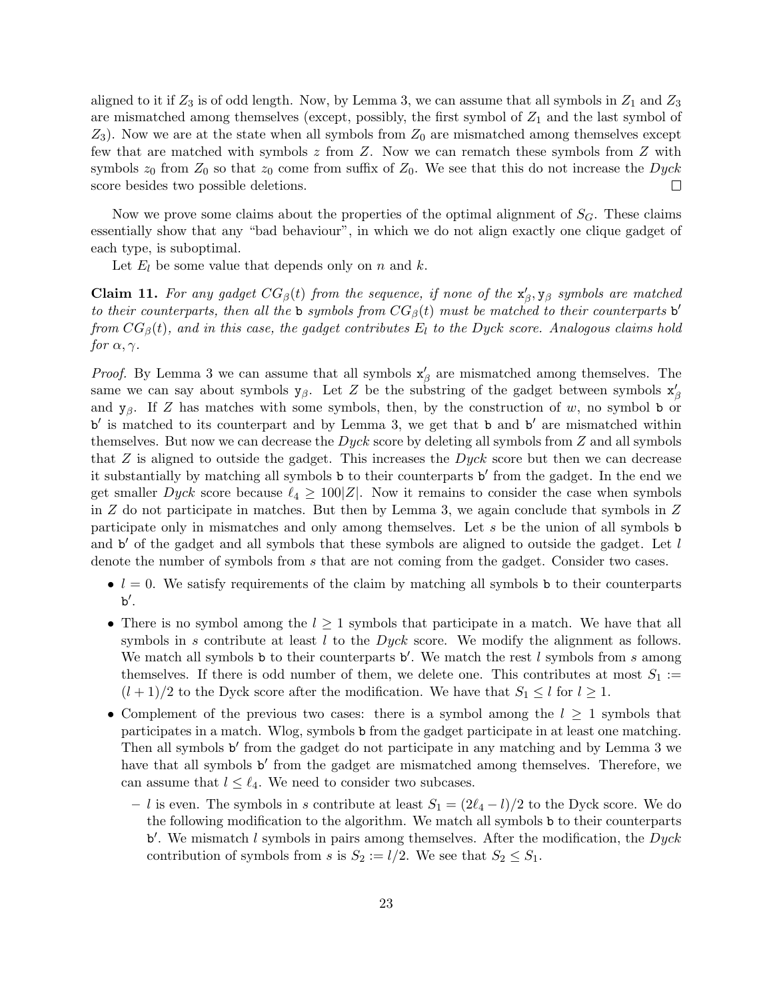aligned to it if  $Z_3$  is of odd length. Now, by Lemma 3, we can assume that all symbols in  $Z_1$  and  $Z_3$ are mismatched among themselves (except, possibly, the first symbol of  $Z_1$  and the last symbol of  $Z_3$ ). Now we are at the state when all symbols from  $Z_0$  are mismatched among themselves except few that are matched with symbols  $z$  from  $Z$ . Now we can rematch these symbols from  $Z$  with symbols  $z_0$  from  $Z_0$  so that  $z_0$  come from suffix of  $Z_0$ . We see that this do not increase the Dyck score besides two possible deletions.  $\Box$ 

Now we prove some claims about the properties of the optimal alignment of  $S_G$ . These claims essentially show that any "bad behaviour", in which we do not align exactly one clique gadget of each type, is suboptimal.

Let  $E_l$  be some value that depends only on n and k.

**Claim 11.** For any gadget  $CG_\beta(t)$  from the sequence, if none of the  $\mathbf{x}'_\beta, \mathbf{y}_\beta$  symbols are matched to their counterparts, then all the b symbols from  $CG_\beta(t)$  must be matched to their counterparts b' from  $CG_{\beta}(t)$ , and in this case, the gadget contributes  $E_l$  to the Dyck score. Analogous claims hold for  $\alpha, \gamma$ .

*Proof.* By Lemma 3 we can assume that all symbols  $x'_\beta$  are mismatched among themselves. The same we can say about symbols  $y_\beta$ . Let Z be the substring of the gadget between symbols  $x'_\beta$ and  $y_\beta$ . If Z has matches with some symbols, then, by the construction of w, no symbol b or b' is matched to its counterpart and by Lemma 3, we get that b and b' are mismatched within themselves. But now we can decrease the  $Dyck$  score by deleting all symbols from Z and all symbols that  $Z$  is aligned to outside the gadget. This increases the  $Dyck$  score but then we can decrease it substantially by matching all symbols **b** to their counterparts **b'** from the gadget. In the end we get smaller Dyck score because  $\ell_4 \geq 100|Z|$ . Now it remains to consider the case when symbols in  $Z$  do not participate in matches. But then by Lemma 3, we again conclude that symbols in  $Z$ participate only in mismatches and only among themselves. Let s be the union of all symbols b and  $b'$  of the gadget and all symbols that these symbols are aligned to outside the gadget. Let  $l$ denote the number of symbols from s that are not coming from the gadget. Consider two cases.

- $l = 0$ . We satisfy requirements of the claim by matching all symbols b to their counterparts  $b'.$
- There is no symbol among the  $l \geq 1$  symbols that participate in a match. We have that all symbols in s contribute at least l to the  $Dyck$  score. We modify the alignment as follows. We match all symbols  $\mathbf b$  to their counterparts  $\mathbf b'$ . We match the rest l symbols from s among themselves. If there is odd number of them, we delete one. This contributes at most  $S_1 :=$  $(l+1)/2$  to the Dyck score after the modification. We have that  $S_1 \leq l$  for  $l \geq 1$ .
- Complement of the previous two cases: there is a symbol among the  $l \geq 1$  symbols that participates in a match. Wlog, symbols b from the gadget participate in at least one matching. Then all symbols b' from the gadget do not participate in any matching and by Lemma 3 we have that all symbols b' from the gadget are mismatched among themselves. Therefore, we can assume that  $l \leq \ell_4$ . We need to consider two subcases.
	- l is even. The symbols in s contribute at least  $S_1 = \frac{2\ell_4 l}{2}$  to the Dyck score. We do the following modification to the algorithm. We match all symbols b to their counterparts  $b'$ . We mismatch l symbols in pairs among themselves. After the modification, the  $Dyck$ contribution of symbols from s is  $S_2 := l/2$ . We see that  $S_2 \leq S_1$ .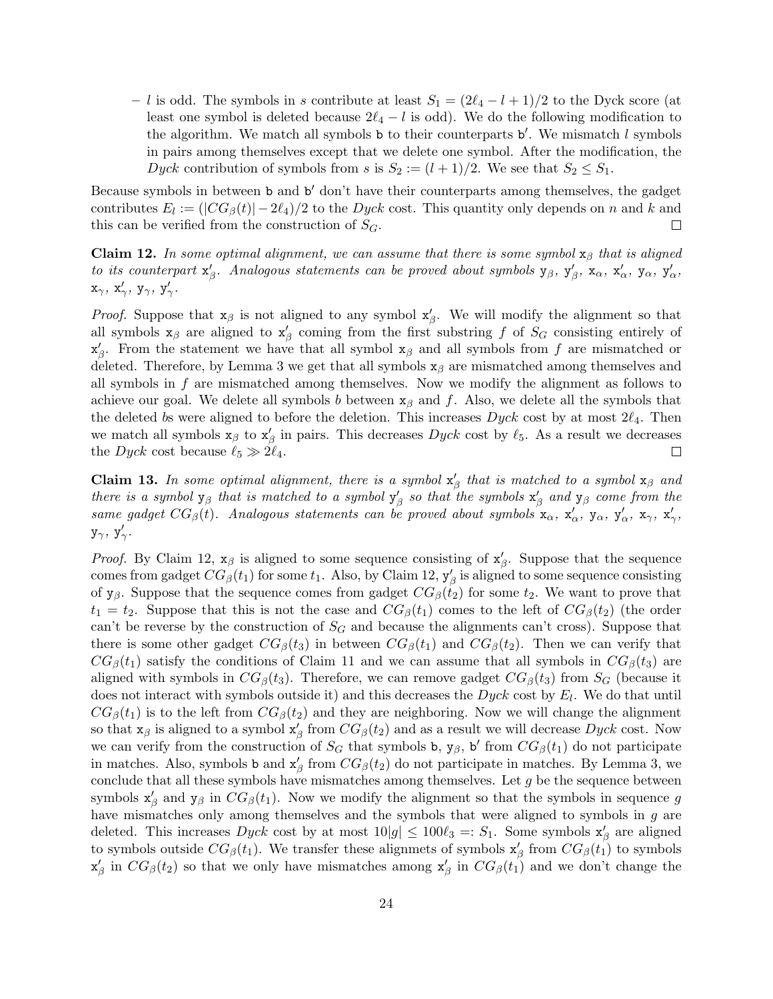– l is odd. The symbols in s contribute at least  $S_1 = (2\ell_4 - l + 1)/2$  to the Dyck score (at least one symbol is deleted because  $2\ell_4 - l$  is odd). We do the following modification to the algorithm. We match all symbols  $\mathbf b$  to their counterparts  $\mathbf b'$ . We mismatch  $l$  symbols in pairs among themselves except that we delete one symbol. After the modification, the Dyck contribution of symbols from s is  $S_2 := (l+1)/2$ . We see that  $S_2 \leq S_1$ .

Because symbols in between  $b$  and  $b'$  don't have their counterparts among themselves, the gadget contributes  $E_l := (|CG_\beta(t)| - 2\ell_4)/2$  to the *Dyck* cost. This quantity only depends on n and k and this can be verified from the construction of  $S_G$ .  $\Box$ 

**Claim 12.** In some optimal alignment, we can assume that there is some symbol  $x_\beta$  that is aligned to its counterpart  $\mathbf{x}'_\beta$ . Analogous statements can be proved about symbols  $\mathbf{y}_\beta$ ,  $\mathbf{y}'_\beta$ ,  $\mathbf{x}_\alpha$ ,  $\mathbf{x}'_\alpha$ ,  $\mathbf{y}_\alpha$ ,  $\mathbf{y}'_\alpha$ ,  $\mathbf{x}_{\gamma}, \mathbf{x}'_{\gamma}, \mathbf{y}_{\gamma}, \mathbf{y}'_{\gamma}.$ 

*Proof.* Suppose that  $x_\beta$  is not aligned to any symbol  $x'_\beta$ . We will modify the alignment so that all symbols  $x_\beta$  are aligned to  $x'_\beta$  coming from the first substring f of  $S_G$  consisting entirely of  $\mathbf{x}'_{\beta}$ . From the statement we have that all symbol  $\mathbf{x}_{\beta}$  and all symbols from f are mismatched or deleted. Therefore, by Lemma 3 we get that all symbols  $x_\beta$  are mismatched among themselves and all symbols in  $f$  are mismatched among themselves. Now we modify the alignment as follows to achieve our goal. We delete all symbols b between  $x_\beta$  and f. Also, we delete all the symbols that the deleted bs were aligned to before the deletion. This increases  $Dyck$  cost by at most  $2\ell_4$ . Then we match all symbols  $x_{\beta}$  to  $x'_{\beta}$  in pairs. This decreases  $Dyck$  cost by  $\ell_5$ . As a result we decreases the *Dyck* cost because  $\ell_5 \gg 2\ell_4$ .  $\Box$ 

**Claim 13.** In some optimal alignment, there is a symbol  $x^{\prime}_{\beta}$  that is matched to a symbol  $x_{\beta}$  and there is a symbol  $y_\beta$  that is matched to a symbol  $y'_\beta$  so that the symbols  $x'_\beta$  and  $y_\beta$  come from the same gadget  $CG_\beta(t)$ . Analogous statements can be proved about symbols  $\mathbf{x}_\alpha$ ,  $\mathbf{x}'_\alpha$ ,  $\mathbf{y}_\alpha$ ,  $\mathbf{y}'_\alpha$ ,  $\mathbf{x}_\gamma$ ,  $\mathbf{x}'_\gamma$ ,  $y_{\gamma}$ ,  $y_{\gamma}'$ .

*Proof.* By Claim 12,  $x_{\beta}$  is aligned to some sequence consisting of  $x'_{\beta}$ . Suppose that the sequence comes from gadget  $CG_\beta(t_1)$  for some  $t_1$ . Also, by Claim 12,  $\mathbf{y}'_\beta$  is aligned to some sequence consisting of  $y_\beta$ . Suppose that the sequence comes from gadget  $CG_\beta(t_2)$  for some  $t_2$ . We want to prove that  $t_1 = t_2$ . Suppose that this is not the case and  $CG_\beta(t_1)$  comes to the left of  $CG_\beta(t_2)$  (the order can't be reverse by the construction of  $S_G$  and because the alignments can't cross). Suppose that there is some other gadget  $CG_\beta(t_3)$  in between  $CG_\beta(t_1)$  and  $CG_\beta(t_2)$ . Then we can verify that  $CG_\beta(t_1)$  satisfy the conditions of Claim 11 and we can assume that all symbols in  $CG_\beta(t_3)$  are aligned with symbols in  $CG_\beta(t_3)$ . Therefore, we can remove gadget  $CG_\beta(t_3)$  from  $S_G$  (because it does not interact with symbols outside it) and this decreases the  $Dyck$  cost by  $E_l$ . We do that until  $CG_{\beta}(t_1)$  is to the left from  $CG_{\beta}(t_2)$  and they are neighboring. Now we will change the alignment so that  $x_\beta$  is aligned to a symbol  $x'_\beta$  from  $CG_\beta(t_2)$  and as a result we will decrease  $Dyck$  cost. Now we can verify from the construction of  $S_G$  that symbols b,  $y_\beta$ , b' from  $CG_\beta(t_1)$  do not participate in matches. Also, symbols b and  $\mathbf{x}'_\beta$  from  $CG_\beta(t_2)$  do not participate in matches. By Lemma 3, we conclude that all these symbols have mismatches among themselves. Let  $g$  be the sequence between symbols  $\mathbf{x}'_\beta$  and  $\mathbf{y}_\beta$  in  $CG_\beta(t_1)$ . Now we modify the alignment so that the symbols in sequence g have mismatches only among themselves and the symbols that were aligned to symbols in g are deleted. This increases  $Dyck$  cost by at most  $10|g| \le 100\ell_3 =: S_1$ . Some symbols  $\mathbf{x}'_\beta$  are aligned to symbols outside  $CG_\beta(t_1)$ . We transfer these alignmets of symbols  $\mathbf{x}'_\beta$  from  $CG_\beta(t_1)$  to symbols  $\mathbf{x}'_\beta$  in  $CG_\beta(t_2)$  so that we only have mismatches among  $\mathbf{x}'_\beta$  in  $CG_\beta(t_1)$  and we don't change the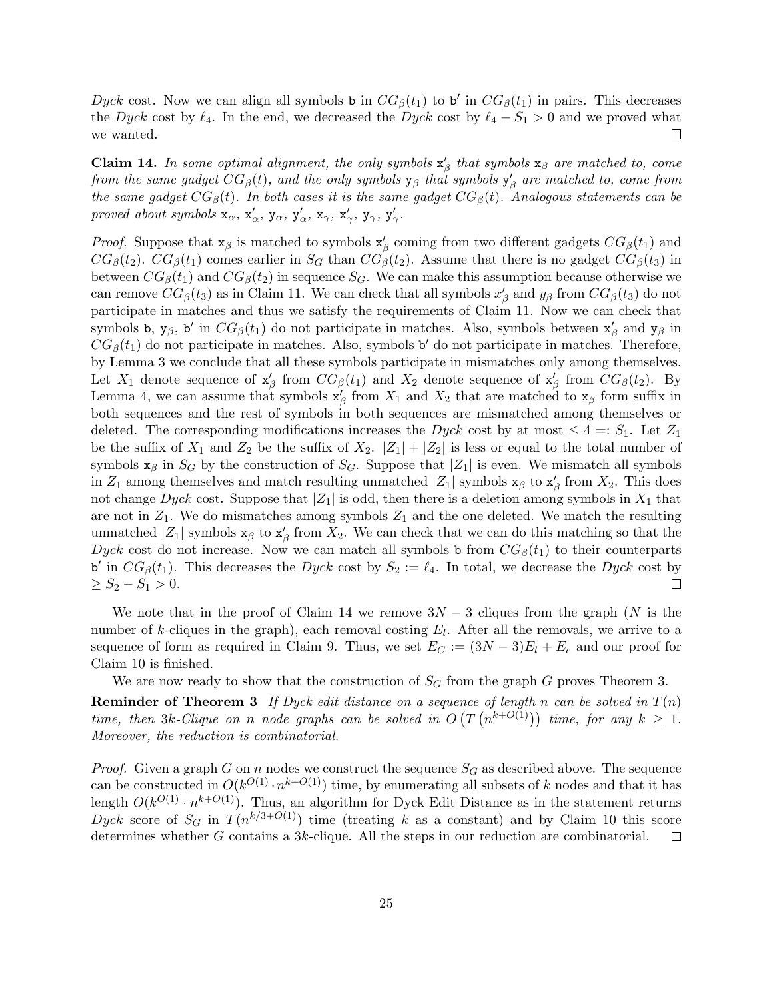Dyck cost. Now we can align all symbols **b** in  $CG_\beta(t_1)$  to **b'** in  $CG_\beta(t_1)$  in pairs. This decreases the Dyck cost by  $\ell_4$ . In the end, we decreased the Dyck cost by  $\ell_4 - S_1 > 0$  and we proved what we wanted.  $\Box$ 

**Claim 14.** In some optimal alignment, the only symbols  $\mathbf{x}'_\beta$  that symbols  $\mathbf{x}_\beta$  are matched to, come from the same gadget  $CG_\beta(t),$  and the only symbols  $\mathsf{y}_\beta$  that symbols  $\mathsf{y}_\beta'$  are matched to, come from the same gadget  $CG_\beta(t)$ . In both cases it is the same gadget  $CG_\beta(t)$ . Analogous statements can be proved about symbols  $\mathbf{x}_{\alpha}$ ,  $\mathbf{x}'_{\alpha}$ ,  $\mathbf{y}_{\alpha}$ ,  $\mathbf{y}'_{\alpha}$ ,  $\mathbf{x}_{\gamma}$ ,  $\mathbf{x}'_{\gamma}$ ,  $\mathbf{y}_{\gamma}$ ,  $\mathbf{y}'_{\gamma}$ .

*Proof.* Suppose that  $\mathbf{x}_{\beta}$  is matched to symbols  $\mathbf{x}'_{\beta}$  coming from two different gadgets  $CG_{\beta}(t_1)$  and  $CG_{\beta}(t_2)$ .  $CG_{\beta}(t_1)$  comes earlier in  $S_G$  than  $CG_{\beta}(t_2)$ . Assume that there is no gadget  $CG_{\beta}(t_3)$  in between  $CG_\beta(t_1)$  and  $CG_\beta(t_2)$  in sequence  $S_G$ . We can make this assumption because otherwise we can remove  $CG_\beta(t_3)$  as in Claim 11. We can check that all symbols  $x'_\beta$  and  $y_\beta$  from  $CG_\beta(t_3)$  do not participate in matches and thus we satisfy the requirements of Claim 11. Now we can check that symbols b,  $y_\beta$ , b' in  $CG_\beta(t_1)$  do not participate in matches. Also, symbols between  $x'_\beta$  and  $y_\beta$  in  $CG_{\beta}(t_1)$  do not participate in matches. Also, symbols b' do not participate in matches. Therefore, by Lemma 3 we conclude that all these symbols participate in mismatches only among themselves. Let  $X_1$  denote sequence of  $\mathbf{x}'_\beta$  from  $CG_\beta(t_1)$  and  $X_2$  denote sequence of  $\mathbf{x}'_\beta$  from  $CG_\beta(t_2)$ . By Lemma 4, we can assume that symbols  $\mathbf{x}'_\beta$  from  $X_1$  and  $X_2$  that are matched to  $\mathbf{x}_\beta$  form suffix in both sequences and the rest of symbols in both sequences are mismatched among themselves or deleted. The corresponding modifications increases the Dyck cost by at most  $\leq 4 =: S_1$ . Let  $Z_1$ be the suffix of  $X_1$  and  $Z_2$  be the suffix of  $X_2$ .  $|Z_1| + |Z_2|$  is less or equal to the total number of symbols  $x_\beta$  in  $S_G$  by the construction of  $S_G$ . Suppose that  $|Z_1|$  is even. We mismatch all symbols in  $Z_1$  among themselves and match resulting unmatched  $|Z_1|$  symbols  $x_\beta$  to  $x'_\beta$  from  $X_2$ . This does not change Dyck cost. Suppose that  $|Z_1|$  is odd, then there is a deletion among symbols in  $X_1$  that are not in  $Z_1$ . We do mismatches among symbols  $Z_1$  and the one deleted. We match the resulting unmatched |Z<sub>1</sub>| symbols  $x_\beta$  to  $x'_\beta$  from  $X_2$ . We can check that we can do this matching so that the Dyck cost do not increase. Now we can match all symbols b from  $CG_\beta(t_1)$  to their counterparts b' in  $CG_\beta(t_1)$ . This decreases the Dyck cost by  $S_2 := \ell_4$ . In total, we decrease the Dyck cost by  $\geq S_2 - S_1 > 0.$  $\Box$ 

We note that in the proof of Claim 14 we remove  $3N-3$  cliques from the graph (N is the number of k-cliques in the graph), each removal costing  $E_l$ . After all the removals, we arrive to a sequence of form as required in Claim 9. Thus, we set  $E_C := (3N-3)E_l + E_c$  and our proof for Claim 10 is finished.

We are now ready to show that the construction of  $S_G$  from the graph G proves Theorem 3.

**Reminder of Theorem 3** If Dyck edit distance on a sequence of length n can be solved in  $T(n)$ time, then 3k-Clique on n node graphs can be solved in  $O(T(n^{k+O(1)}))$  time, for any  $k \geq 1$ . Moreover, the reduction is combinatorial.

*Proof.* Given a graph G on n nodes we construct the sequence  $S_G$  as described above. The sequence can be constructed in  $O(k^{O(1)} \cdot n^{k+O(1)})$  time, by enumerating all subsets of k nodes and that it has length  $O(k^{O(1)} \cdot n^{k+O(1)})$ . Thus, an algorithm for Dyck Edit Distance as in the statement returns Dyck score of  $S_G$  in  $T(n^{k/3+O(1)})$  time (treating k as a constant) and by Claim 10 this score determines whether G contains a 3k-clique. All the steps in our reduction are combinatorial.  $\Box$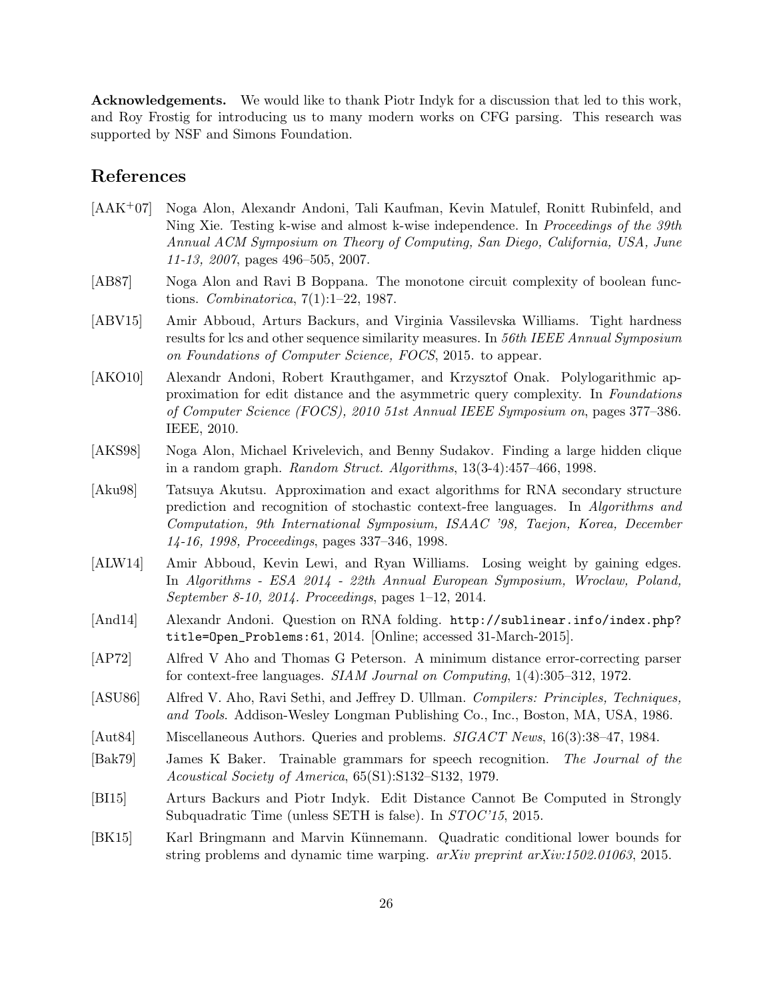Acknowledgements. We would like to thank Piotr Indyk for a discussion that led to this work, and Roy Frostig for introducing us to many modern works on CFG parsing. This research was supported by NSF and Simons Foundation.

### References

- [AAK+07] Noga Alon, Alexandr Andoni, Tali Kaufman, Kevin Matulef, Ronitt Rubinfeld, and Ning Xie. Testing k-wise and almost k-wise independence. In Proceedings of the 39th Annual ACM Symposium on Theory of Computing, San Diego, California, USA, June 11-13, 2007, pages 496–505, 2007.
- [AB87] Noga Alon and Ravi B Boppana. The monotone circuit complexity of boolean functions. Combinatorica, 7(1):1–22, 1987.
- [ABV15] Amir Abboud, Arturs Backurs, and Virginia Vassilevska Williams. Tight hardness results for lcs and other sequence similarity measures. In 56th IEEE Annual Symposium on Foundations of Computer Science, FOCS, 2015. to appear.
- [AKO10] Alexandr Andoni, Robert Krauthgamer, and Krzysztof Onak. Polylogarithmic approximation for edit distance and the asymmetric query complexity. In Foundations of Computer Science (FOCS), 2010 51st Annual IEEE Symposium on, pages 377–386. IEEE, 2010.
- [AKS98] Noga Alon, Michael Krivelevich, and Benny Sudakov. Finding a large hidden clique in a random graph. Random Struct. Algorithms, 13(3-4):457–466, 1998.
- [Aku98] Tatsuya Akutsu. Approximation and exact algorithms for RNA secondary structure prediction and recognition of stochastic context-free languages. In Algorithms and Computation, 9th International Symposium, ISAAC '98, Taejon, Korea, December 14-16, 1998, Proceedings, pages 337–346, 1998.
- [ALW14] Amir Abboud, Kevin Lewi, and Ryan Williams. Losing weight by gaining edges. In Algorithms - ESA 2014 - 22th Annual European Symposium, Wroclaw, Poland, September 8-10, 2014. Proceedings, pages 1–12, 2014.
- [And14] Alexandr Andoni. Question on RNA folding. http://sublinear.info/index.php? title=Open\_Problems:61, 2014. [Online; accessed 31-March-2015].
- [AP72] Alfred V Aho and Thomas G Peterson. A minimum distance error-correcting parser for context-free languages. SIAM Journal on Computing, 1(4):305–312, 1972.
- [ASU86] Alfred V. Aho, Ravi Sethi, and Jeffrey D. Ullman. Compilers: Principles, Techniques, and Tools. Addison-Wesley Longman Publishing Co., Inc., Boston, MA, USA, 1986.
- [Aut84] Miscellaneous Authors. Queries and problems. SIGACT News, 16(3):38–47, 1984.
- [Bak79] James K Baker. Trainable grammars for speech recognition. The Journal of the Acoustical Society of America, 65(S1):S132–S132, 1979.
- [BI15] Arturs Backurs and Piotr Indyk. Edit Distance Cannot Be Computed in Strongly Subquadratic Time (unless SETH is false). In STOC'15, 2015.
- [BK15] Karl Bringmann and Marvin Künnemann. Quadratic conditional lower bounds for string problems and dynamic time warping.  $arXiv$  preprint  $arXiv:1502.01063$ , 2015.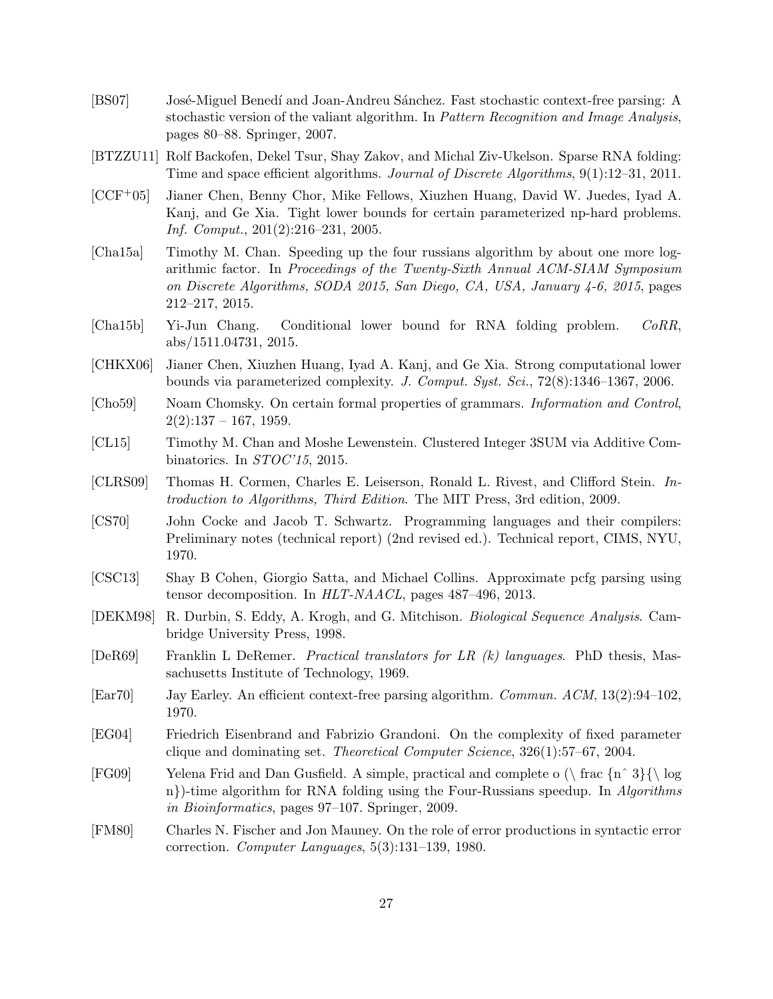- [BS07] José-Miguel Benedí and Joan-Andreu Sánchez. Fast stochastic context-free parsing: A stochastic version of the valiant algorithm. In Pattern Recognition and Image Analysis, pages 80–88. Springer, 2007.
- [BTZZU11] Rolf Backofen, Dekel Tsur, Shay Zakov, and Michal Ziv-Ukelson. Sparse RNA folding: Time and space efficient algorithms. Journal of Discrete Algorithms, 9(1):12–31, 2011.
- [CCF+05] Jianer Chen, Benny Chor, Mike Fellows, Xiuzhen Huang, David W. Juedes, Iyad A. Kanj, and Ge Xia. Tight lower bounds for certain parameterized np-hard problems. Inf. Comput., 201(2):216–231, 2005.
- [Cha15a] Timothy M. Chan. Speeding up the four russians algorithm by about one more logarithmic factor. In Proceedings of the Twenty-Sixth Annual ACM-SIAM Symposium on Discrete Algorithms, SODA 2015, San Diego, CA, USA, January 4-6, 2015, pages 212–217, 2015.
- [Cha15b] Yi-Jun Chang. Conditional lower bound for RNA folding problem. CoRR, abs/1511.04731, 2015.
- [CHKX06] Jianer Chen, Xiuzhen Huang, Iyad A. Kanj, and Ge Xia. Strong computational lower bounds via parameterized complexity. J. Comput. Syst. Sci., 72(8):1346–1367, 2006.
- [Cho59] Noam Chomsky. On certain formal properties of grammars. Information and Control,  $2(2):137 - 167, 1959.$
- [CL15] Timothy M. Chan and Moshe Lewenstein. Clustered Integer 3SUM via Additive Combinatorics. In STOC'15, 2015.
- [CLRS09] Thomas H. Cormen, Charles E. Leiserson, Ronald L. Rivest, and Clifford Stein. Introduction to Algorithms, Third Edition. The MIT Press, 3rd edition, 2009.
- [CS70] John Cocke and Jacob T. Schwartz. Programming languages and their compilers: Preliminary notes (technical report) (2nd revised ed.). Technical report, CIMS, NYU, 1970.
- [CSC13] Shay B Cohen, Giorgio Satta, and Michael Collins. Approximate pcfg parsing using tensor decomposition. In HLT-NAACL, pages 487–496, 2013.
- [DEKM98] R. Durbin, S. Eddy, A. Krogh, and G. Mitchison. Biological Sequence Analysis. Cambridge University Press, 1998.
- [DeR69] Franklin L DeRemer. Practical translators for LR (k) languages. PhD thesis, Massachusetts Institute of Technology, 1969.
- [Ear70] Jay Earley. An efficient context-free parsing algorithm. Commun. ACM, 13(2):94–102, 1970.
- [EG04] Friedrich Eisenbrand and Fabrizio Grandoni. On the complexity of fixed parameter clique and dominating set. Theoretical Computer Science, 326(1):57–67, 2004.
- [FG09] Yelena Frid and Dan Gusfield. A simple, practical and complete o  $(\frac{\alpha}{3}\{\ \log$ n})-time algorithm for RNA folding using the Four-Russians speedup. In Algorithms in Bioinformatics, pages 97–107. Springer, 2009.
- [FM80] Charles N. Fischer and Jon Mauney. On the role of error productions in syntactic error correction. Computer Languages, 5(3):131–139, 1980.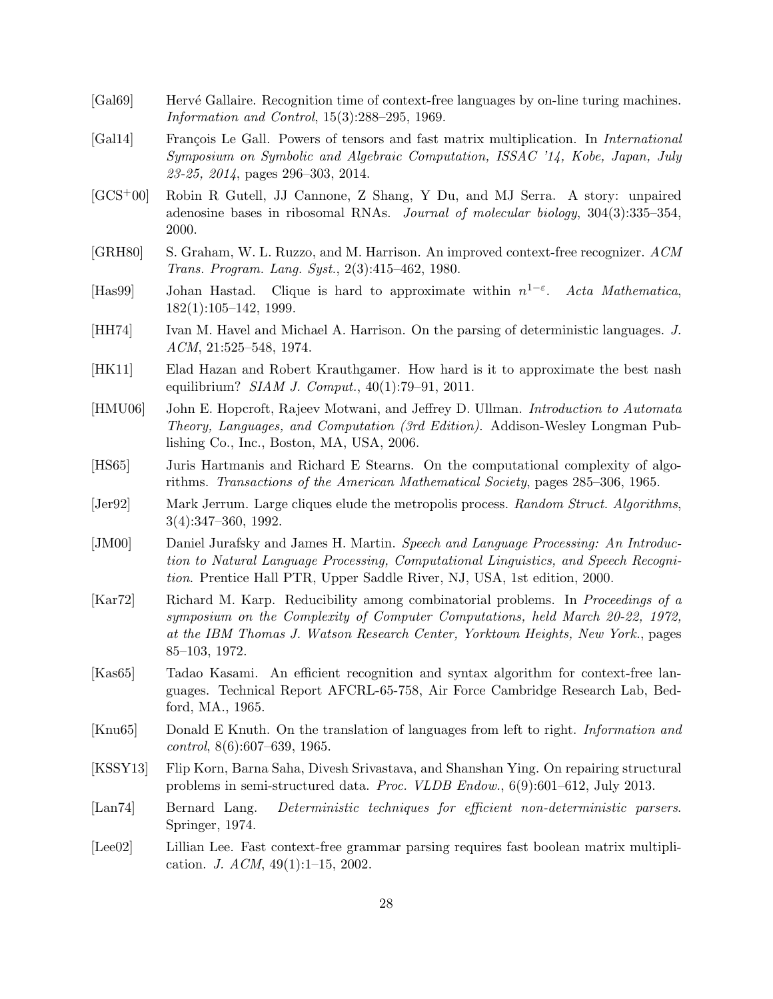- [Gal69] Hervé Gallaire. Recognition time of context-free languages by on-line turing machines. Information and Control, 15(3):288–295, 1969.
- [Gal14] François Le Gall. Powers of tensors and fast matrix multiplication. In *International* Symposium on Symbolic and Algebraic Computation, ISSAC '14, Kobe, Japan, July 23-25, 2014, pages 296–303, 2014.
- [GCS+00] Robin R Gutell, JJ Cannone, Z Shang, Y Du, and MJ Serra. A story: unpaired adenosine bases in ribosomal RNAs. Journal of molecular biology, 304(3):335–354, 2000.
- [GRH80] S. Graham, W. L. Ruzzo, and M. Harrison. An improved context-free recognizer. ACM Trans. Program. Lang. Syst., 2(3):415–462, 1980.
- [Has99] Johan Hastad. Clique is hard to approximate within  $n^{1-\epsilon}$ . Acta Mathematica, 182(1):105–142, 1999.
- [HH74] Ivan M. Havel and Michael A. Harrison. On the parsing of deterministic languages. J. ACM, 21:525–548, 1974.
- [HK11] Elad Hazan and Robert Krauthgamer. How hard is it to approximate the best nash equilibrium? SIAM J. Comput., 40(1):79–91, 2011.
- [HMU06] John E. Hopcroft, Rajeev Motwani, and Jeffrey D. Ullman. Introduction to Automata Theory, Languages, and Computation (3rd Edition). Addison-Wesley Longman Publishing Co., Inc., Boston, MA, USA, 2006.
- [HS65] Juris Hartmanis and Richard E Stearns. On the computational complexity of algorithms. Transactions of the American Mathematical Society, pages 285–306, 1965.
- [Jer92] Mark Jerrum. Large cliques elude the metropolis process. Random Struct. Algorithms, 3(4):347–360, 1992.
- [JM00] Daniel Jurafsky and James H. Martin. Speech and Language Processing: An Introduction to Natural Language Processing, Computational Linguistics, and Speech Recognition. Prentice Hall PTR, Upper Saddle River, NJ, USA, 1st edition, 2000.
- [Kar72] Richard M. Karp. Reducibility among combinatorial problems. In Proceedings of a symposium on the Complexity of Computer Computations, held March 20-22, 1972, at the IBM Thomas J. Watson Research Center, Yorktown Heights, New York., pages 85–103, 1972.
- [Kas65] Tadao Kasami. An efficient recognition and syntax algorithm for context-free languages. Technical Report AFCRL-65-758, Air Force Cambridge Research Lab, Bedford, MA., 1965.
- [Knu65] Donald E Knuth. On the translation of languages from left to right. Information and control, 8(6):607–639, 1965.
- [KSSY13] Flip Korn, Barna Saha, Divesh Srivastava, and Shanshan Ying. On repairing structural problems in semi-structured data. Proc. VLDB Endow., 6(9):601–612, July 2013.
- [Lan74] Bernard Lang. Deterministic techniques for efficient non-deterministic parsers. Springer, 1974.
- [Lee02] Lillian Lee. Fast context-free grammar parsing requires fast boolean matrix multiplication. J. ACM, 49(1):1–15, 2002.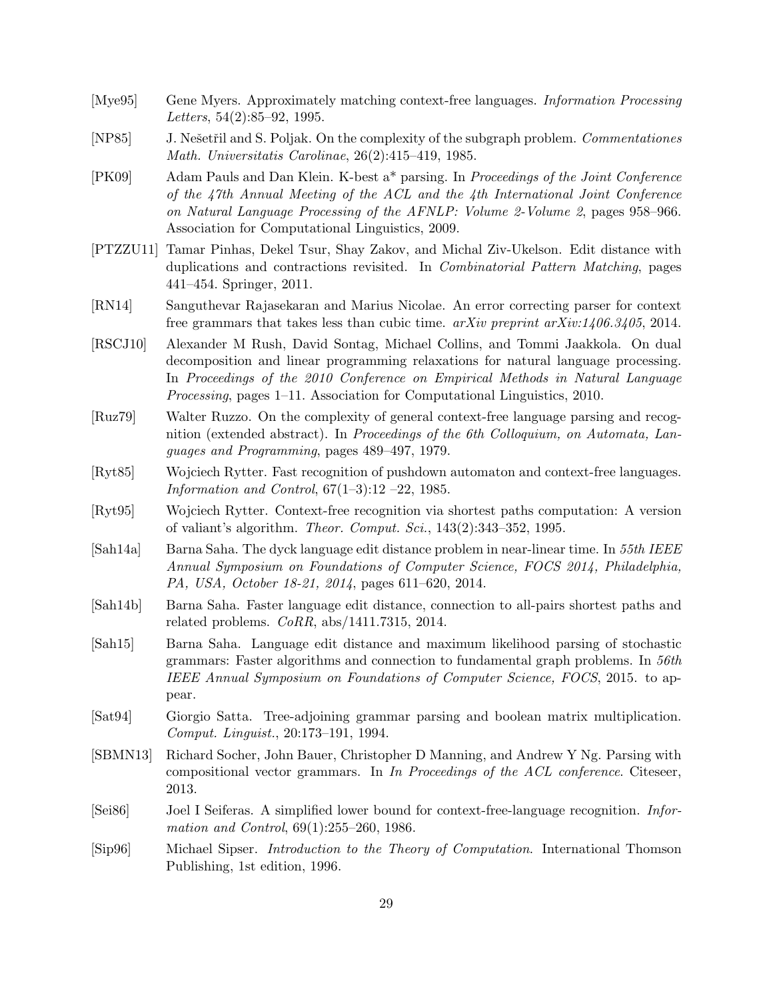- [Mye95] Gene Myers. Approximately matching context-free languages. Information Processing Letters, 54(2):85–92, 1995.
- [NP85] J. Nešetřil and S. Poljak. On the complexity of the subgraph problem. Commentationes Math. Universitatis Carolinae, 26(2):415–419, 1985.
- [PK09] Adam Pauls and Dan Klein. K-best a\* parsing. In Proceedings of the Joint Conference of the 47th Annual Meeting of the ACL and the 4th International Joint Conference on Natural Language Processing of the AFNLP: Volume 2-Volume 2, pages 958–966. Association for Computational Linguistics, 2009.
- [PTZZU11] Tamar Pinhas, Dekel Tsur, Shay Zakov, and Michal Ziv-Ukelson. Edit distance with duplications and contractions revisited. In Combinatorial Pattern Matching, pages 441–454. Springer, 2011.
- [RN14] Sanguthevar Rajasekaran and Marius Nicolae. An error correcting parser for context free grammars that takes less than cubic time. arXiv preprint arXiv:1406.3405, 2014.
- [RSCJ10] Alexander M Rush, David Sontag, Michael Collins, and Tommi Jaakkola. On dual decomposition and linear programming relaxations for natural language processing. In Proceedings of the 2010 Conference on Empirical Methods in Natural Language Processing, pages 1–11. Association for Computational Linguistics, 2010.
- [Ruz79] Walter Ruzzo. On the complexity of general context-free language parsing and recognition (extended abstract). In Proceedings of the 6th Colloquium, on Automata, Languages and Programming, pages 489–497, 1979.
- [Ryt85] Wojciech Rytter. Fast recognition of pushdown automaton and context-free languages. Information and Control, 67(1–3):12 –22, 1985.
- [Ryt95] Wojciech Rytter. Context-free recognition via shortest paths computation: A version of valiant's algorithm. *Theor. Comput. Sci.*,  $143(2):343-352$ , 1995.
- [Sah14a] Barna Saha. The dyck language edit distance problem in near-linear time. In 55th IEEE Annual Symposium on Foundations of Computer Science, FOCS 2014, Philadelphia, PA, USA, October 18-21, 2014, pages 611–620, 2014.
- [Sah14b] Barna Saha. Faster language edit distance, connection to all-pairs shortest paths and related problems. CoRR, abs/1411.7315, 2014.
- [Sah15] Barna Saha. Language edit distance and maximum likelihood parsing of stochastic grammars: Faster algorithms and connection to fundamental graph problems. In 56th IEEE Annual Symposium on Foundations of Computer Science, FOCS, 2015. to appear.
- [Sat94] Giorgio Satta. Tree-adjoining grammar parsing and boolean matrix multiplication. Comput. Linguist., 20:173–191, 1994.
- [SBMN13] Richard Socher, John Bauer, Christopher D Manning, and Andrew Y Ng. Parsing with compositional vector grammars. In In Proceedings of the ACL conference. Citeseer, 2013.
- [Sei86] Joel I Seiferas. A simplified lower bound for context-free-language recognition. Information and Control, 69(1):255-260, 1986.
- [Sip96] Michael Sipser. Introduction to the Theory of Computation. International Thomson Publishing, 1st edition, 1996.